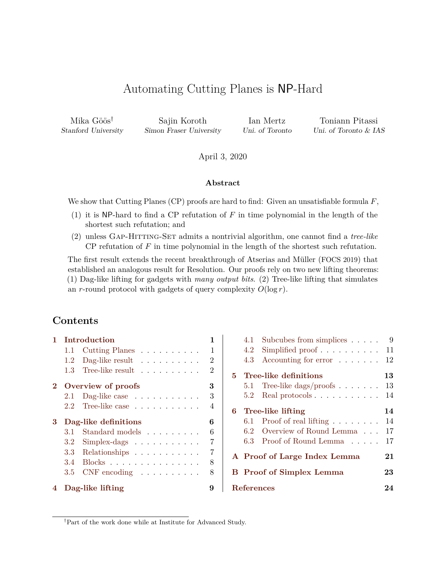# Automating Cutting Planes is NP-Hard

Stanford University Simon Fraser University Uni. of Toronto Uni. of Toronto & IAS

Mika Göös<sup>†</sup> Sajin Koroth Ian Mertz Toniann Pitassi

April 3, 2020

#### **Abstract**

We show that Cutting Planes (CP) proofs are hard to find: Given an unsatisfiable formula *F*,

- (1) it is NP-hard to find a CP refutation of *F* in time polynomial in the length of the shortest such refutation; and
- (2) unless Gap-Hitting-Set admits a nontrivial algorithm, one cannot find a *tree-like* CP refutation of  $F$  in time polynomial in the length of the shortest such refutation.

The first result extends the recent breakthrough of Atserias and Müller (FOCS 2019) that established an analogous result for Resolution. Our proofs rely on two new lifting theorems: (1) Dag-like lifting for gadgets with *many output bits*. (2) Tree-like lifting that simulates an *r*-round protocol with gadgets of query complexity  $O(\log r)$ .

### **Contents**

| 1.   | Introduction         |                                        |                |  |  |
|------|----------------------|----------------------------------------|----------------|--|--|
|      | 1.1                  | Cutting Planes $\ldots \ldots \ldots$  | 1              |  |  |
|      | 1.2                  | Dag-like result $\dots \dots \dots$    | 2              |  |  |
|      | 1.3                  | Tree-like result                       | $\overline{2}$ |  |  |
| $2-$ | Overview of proofs   |                                        |                |  |  |
|      | 2.1                  | Dag-like case $\dots \dots \dots$      | 3              |  |  |
|      | 2.2                  | Tree-like case                         | $\overline{4}$ |  |  |
|      | Dag-like definitions |                                        |                |  |  |
| 3    |                      |                                        | 6              |  |  |
|      | 3.1                  | Standard models                        | 6              |  |  |
|      | 3.2                  | $Simplex-dags$                         | 7              |  |  |
|      |                      |                                        | 7              |  |  |
|      | 3.4                  | $3.3$ Relationships<br>$\text{Blocks}$ | 8              |  |  |
|      | 3.5                  | $CNF$ encoding $\ldots \ldots \ldots$  | 8              |  |  |

|            |     | 4.1 Subcubes from simplices                | 9  |
|------------|-----|--------------------------------------------|----|
|            | 4.2 | Simplified proof $\ldots$ 11               |    |
|            | 4.3 | Accounting for error                       | 12 |
| 5.         |     | Tree-like definitions                      | 13 |
|            |     | 5.1 Tree-like dags/proofs $\dots \dots$ 13 |    |
|            |     | $5.2 \quad$ Real protocols                 | 14 |
|            |     | 6 Tree-like lifting                        | 14 |
|            |     | 6.1 Proof of real lifting $\ldots \ldots$  | 14 |
|            |     | 6.2 Overview of Round Lemma                | 17 |
|            |     | 6.3 Proof of Round Lemma                   | 17 |
|            |     | A Proof of Large Index Lemma               | 21 |
|            |     | <b>B</b> Proof of Simplex Lemma            | 23 |
| References |     |                                            |    |
|            |     |                                            |    |

†Part of the work done while at Institute for Advanced Study.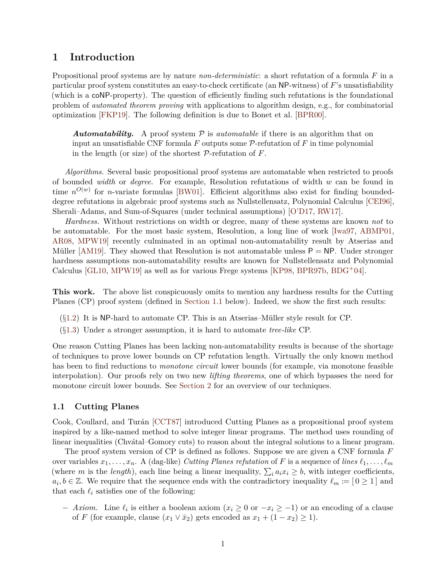### <span id="page-1-0"></span>**1 Introduction**

Propositional proof systems are by nature *non-deterministic*: a short refutation of a formula *F* in a particular proof system constitutes an easy-to-check certificate (an NP-witness) of *F*'s unsatisfiability (which is a coNP-property). The question of efficiently finding such refutations is the foundational problem of *automated theorem proving* with applications to algorithm design, e.g., for combinatorial optimization [\[FKP19\]](#page-26-0). The following definition is due to Bonet et al. [\[BPR00\]](#page-25-0).

**Automatability.** A proof system  $P$  is *automatable* if there is an algorithm that on input an unsatisfiable CNF formula  $F$  outputs some  $\mathcal{P}$ -refutation of  $F$  in time polynomial in the length (or size) of the shortest P-refutation of *F*.

*Algorithms.* Several basic propositional proof systems are automatable when restricted to proofs of bounded *width* or *degree*. For example, Resolution refutations of width *w* can be found in time  $n^{O(w)}$  for *n*-variate formulas [\[BW01\]](#page-25-1). Efficient algorithms also exist for finding boundeddegree refutations in algebraic proof systems such as Nullstellensatz, Polynomial Calculus [\[CEI96\]](#page-25-2), Sherali–Adams, and Sum-of-Squares (under technical assumptions) [\[O'D17,](#page-27-0) [RW17\]](#page-28-0).

*Hardness.* Without restrictions on width or degree, many of these systems are known *not* to be automatable. For the most basic system, Resolution, a long line of work [\[Iwa97,](#page-27-1) [ABMP01,](#page-24-1) [AR08,](#page-25-3) [MPW19\]](#page-27-2) recently culminated in an optimal non-automatability result by Atserias and Müller [\[AM19\]](#page-25-4). They showed that Resolution is not automatable unless  $P = NP$ . Under stronger hardness assumptions non-automatability results are known for Nullstellensatz and Polynomial Calculus  $[GL10, MPW19]$  $[GL10, MPW19]$  as well as for various Frege systems  $[KP98, BPR97b, BDG^+04]$  $[KP98, BPR97b, BDG^+04]$  $[KP98, BPR97b, BDG^+04]$  $[KP98, BPR97b, BDG^+04]$  $[KP98, BPR97b, BDG^+04]$ .

**This work.** The above list conspicuously omits to mention any hardness results for the Cutting Planes (CP) proof system (defined in [Section 1.1](#page-1-1) below). Indeed, we show the first such results:

- $(\S1.2)$  $(\S1.2)$  It is NP-hard to automate CP. This is an Atserias–Müller style result for CP.
- (§[1.3\)](#page-2-1) Under a stronger assumption, it is hard to automate *tree-like* CP.

One reason Cutting Planes has been lacking non-automatability results is because of the shortage of techniques to prove lower bounds on CP refutation length. Virtually the only known method has been to find reductions to *monotone circuit* lower bounds (for example, via monotone feasible interpolation). Our proofs rely on two new *lifting theorems*, one of which bypasses the need for monotone circuit lower bounds. See [Section 2](#page-3-0) for an overview of our techniques.

#### <span id="page-1-1"></span>**1.1 Cutting Planes**

Cook, Coullard, and Turán [\[CCT87\]](#page-25-7) introduced Cutting Planes as a propositional proof system inspired by a like-named method to solve integer linear programs. The method uses rounding of linear inequalities (Chvatal–Gomory cuts) to reason about the integral solutions to a linear program.

The proof system version of CP is defined as follows. Suppose we are given a CNF formula *F* over variables  $x_1, \ldots, x_n$ . A (dag-like) *Cutting Planes refutation* of *F* is a sequence of *lines*  $\ell_1, \ldots, \ell_m$ (where *m* is the *length*), each line being a linear inequality,  $\sum_i a_i x_i \geq b$ , with integer coefficients,  $a_i, b \in \mathbb{Z}$ . We require that the sequence ends with the contradictory inequality  $\ell_m := [0 \ge 1]$  and that each  $\ell_i$  satisfies one of the following:

− *Axiom*. Line  $\ell_i$  is either a boolean axiom ( $x_i \ge 0$  or  $-x_i \ge -1$ ) or an encoding of a clause of *F* (for example, clause  $(x_1 \vee \overline{x}_2)$  gets encoded as  $x_1 + (1 - x_2) \ge 1$ ).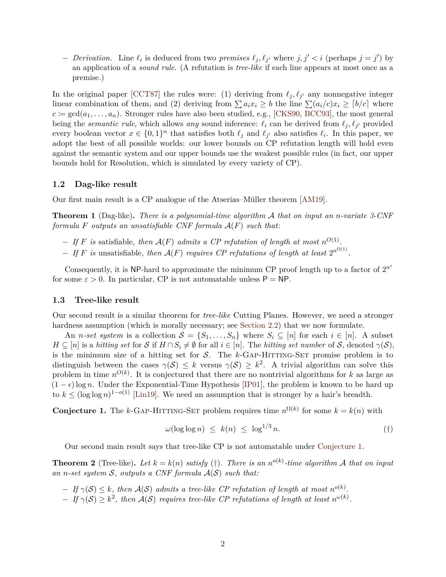*- Derivation.* Line  $\ell_i$  is deduced from two *premises*  $\ell_j$ ,  $\ell_{j'}$  where  $j, j' < i$  (perhaps  $j = j'$ ) by an application of a *sound rule*. (A refutation is *tree-like* if each line appears at most once as a premise.)

In the original paper [\[CCT87\]](#page-25-7) the rules were: (1) deriving from  $\ell_j, \ell_{j'}$  any nonnegative integer linear combination of them, and (2) deriving from  $\sum a_i x_i \geq b$  the line  $\sum (a_i/c)x_i \geq [b/c]$  where  $c := \gcd(a_1, \ldots, a_n)$ . Stronger rules have also been studied, e.g., [\[CKS90,](#page-26-2) [BCC93\]](#page-25-8), the most general being the *semantic rule*, which allows *any* sound inference:  $\ell_i$  can be derived from  $\ell_j, \ell_{j'}$  provided every boolean vector  $x \in \{0,1\}^n$  that satisfies both  $\ell_j$  and  $\ell_{j'}$  also satisfies  $\ell_i$ . In this paper, we adopt the best of all possible worlds: our lower bounds on CP refutation length will hold even against the semantic system and our upper bounds use the weakest possible rules (in fact, our upper bounds hold for Resolution, which is simulated by every variety of CP).

#### <span id="page-2-0"></span>**1.2 Dag-like result**

Our first main result is a CP analogue of the Atserias–Müller theorem [\[AM19\]](#page-25-4).

<span id="page-2-4"></span>**Theorem 1** (Dag-like)**.** *There is a polynomial-time algorithm* A *that on input an n-variate 3-CNF formula F outputs an unsatisfiable CNF formula* A(*F*) *such that:*

- $-I$  *f F is* satisfiable, then  $\mathcal{A}(F)$  *admits a CP refutation of length at most*  $n^{O(1)}$ .
- $-I$  *f F* is unsatisfiable, then  $\mathcal{A}(F)$  requires CP refutations of length at least  $2^{n^{\Omega(1)}}$ .

Consequently, it is NP-hard to approximate the minimum CP proof length up to a factor of  $2^{n^{\varepsilon}}$ for some  $\varepsilon > 0$ . In particular, CP is not automatable unless  $P = NP$ .

#### <span id="page-2-1"></span>**1.3 Tree-like result**

Our second result is a similar theorem for *tree-like* Cutting Planes. However, we need a stronger hardness assumption (which is morally necessary; see [Section 2.2\)](#page-4-0) that we now formulate.

An *n*-set system is a collection  $S = \{S_1, \ldots, S_n\}$  where  $S_i \subseteq [n]$  for each  $i \in [n]$ . A subset  $H \subseteq [n]$  is a *hitting set* for S if  $H \cap S_i \neq \emptyset$  for all  $i \in [n]$ . The *hitting set number* of S, denoted  $\gamma(S)$ . is the minimum size of a hitting set for  $S$ . The  $k$ -GAP-HITTING-SET promise problem is to distinguish between the cases  $\gamma(S) \leq k$  versus  $\gamma(S) \geq k^2$ . A trivial algorithm can solve this problem in time  $n^{O(k)}$ . It is conjectured that there are no nontrivial algorithms for *k* as large as  $(1 - \epsilon)$ log *n*. Under the Exponential-Time Hypothesis [\[IP01\]](#page-27-4), the problem is known to be hard up to  $k \leq (\log \log n)^{1-o(1)}$  [\[Lin19\]](#page-27-5). We need an assumption that is stronger by a hair's breadth.

<span id="page-2-2"></span>**Conjecture 1.** The *k*-GAP-HITTING-SET problem requires time  $n^{\Omega(k)}$  for some  $k = k(n)$  with

<span id="page-2-3"></span>
$$
\omega(\log \log n) \le k(n) \le \log^{1/3} n. \tag{\dagger}
$$

Our second main result says that tree-like CP is not automatable under [Conjecture 1.](#page-2-2)

<span id="page-2-5"></span>**Theorem 2** (Tree-like). Let  $k = k(n)$  satisfy ([†](#page-2-3)). There is an  $n^{o(k)}$ -time algorithm A that on input *an n-set system* S*, outputs a CNF formula* A(S) *such that:*

 $-If \gamma(S) \leq k$ , then  $\mathcal{A}(S)$  admits a tree-like CP refutation of length at most  $n^{o(k)}$ .

 $-If \gamma(S) \geq k^2$ , then  $\mathcal{A}(S)$  requires tree-like CP refutations of length at least  $n^{\omega(k)}$ .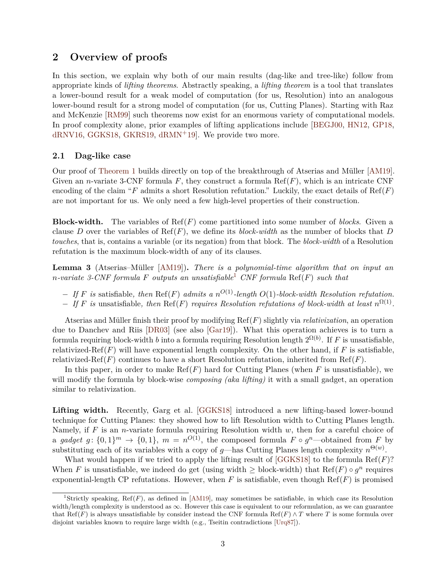### <span id="page-3-0"></span>**2 Overview of proofs**

In this section, we explain why both of our main results (dag-like and tree-like) follow from appropriate kinds of *lifting theorems*. Abstractly speaking, a *lifting theorem* is a tool that translates a lower-bound result for a weak model of computation (for us, Resolution) into an analogous lower-bound result for a strong model of computation (for us, Cutting Planes). Starting with Raz and McKenzie [\[RM99\]](#page-28-1) such theorems now exist for an enormous variety of computational models. In proof complexity alone, prior examples of lifting applications include [\[BEGJ00,](#page-25-9) [HN12,](#page-27-6) [GP18,](#page-26-3) [dRNV16,](#page-26-4) [GGKS18,](#page-26-5) [GKRS19,](#page-26-6) [dRMN](#page-26-7)+19]. We provide two more.

#### <span id="page-3-1"></span>**2.1 Dag-like case**

Our proof of [Theorem 1](#page-2-4) builds directly on top of the breakthrough of Atserias and Müller [\[AM19\]](#page-25-4). Given an *n*-variate 3-CNF formula  $F$ , they construct a formula  $\text{Ref}(F)$ , which is an intricate CNF encoding of the claim " $F$  admits a short Resolution refutation." Luckily, the exact details of  $\text{Ref}(F)$ are not important for us. We only need a few high-level properties of their construction.

**Block-width.** The variables of Ref(*F*) come partitioned into some number of *blocks*. Given a clause *D* over the variables of  $\text{Ref}(F)$ , we define its *block-width* as the number of blocks that *D touches*, that is, contains a variable (or its negation) from that block. The *block-width* of a Resolution refutation is the maximum block-width of any of its clauses.

<span id="page-3-3"></span>**Lemma 3** (Atserias–M¨uller [\[AM19\]](#page-25-4))**.** *There is a polynomial-time algorithm that on input an*  $n$ *-variate 3-CNF formula*  $F$  *outputs an unsatisfiable*<sup>[1](#page-3-2)</sup> *CNF formula* Ref( $F$ ) *such that* 

- − *If F is* satisfiable*, then* Ref(*F*) *admits a n <sup>O</sup>*(1)*-length O*(1)*-block-width Resolution refutation.*
- $-I$  *f F* is unsatisfiable, then Ref(*F*) *requires Resolution refutations of block-width at least*  $n^{\Omega(1)}$ .

Atserias and Müller finish their proof by modifying  $\text{Ref}(F)$  slightly via *relativization*, an operation due to Danchev and Riis [\[DR03\]](#page-26-8) (see also [\[Gar19\]](#page-26-9)). What this operation achieves is to turn a formula requiring block-width *b* into a formula requiring Resolution length  $2^{\Omega(b)}$ . If *F* is unsatisfiable, relativized-Ref $(F)$  will have exponential length complexity. On the other hand, if  $F$  is satisfiable, relativized-Ref $(F)$  continues to have a short Resolution refutation, inherited from Ref $(F)$ .

In this paper, in order to make Ref(*F*) hard for Cutting Planes (when *F* is unsatisfiable), we will modify the formula by block-wise *composing (aka lifting)* it with a small gadget, an operation similar to relativization.

Lifting width. Recently, Garg et al. [\[GGKS18\]](#page-26-5) introduced a new lifting-based lower-bound technique for Cutting Planes: they showed how to lift Resolution width to Cutting Planes length. Namely, if *F* is an *n*-variate formula requiring Resolution width *w*, then for a careful choice of a gadget  $g: \{0,1\}^m \to \{0,1\}, m = n^{O(1)}$ , the composed formula  $F \circ g^n$ —obtained from  $F$  by substituting each of its variables with a copy of *g*—has Cutting Planes length complexity  $n^{\Theta(w)}$ .

What would happen if we tried to apply the lifting result of [\[GGKS18\]](#page-26-5) to the formula Ref(*F*)? When *F* is unsatisfiable, we indeed do get (using width  $\geq$  block-width) that Ref(*F*)  $\circ$  *g*<sup>*n*</sup> requires exponential-length CP refutations. However, when  $F$  is satisfiable, even though  $\text{Ref}(F)$  is promised

<span id="page-3-2"></span><sup>&</sup>lt;sup>1</sup>Strictly speaking,  $Ref(F)$ , as defined in [\[AM19\]](#page-25-4), may sometimes be satisfiable, in which case its Resolution width/length complexity is understood as  $\infty$ . However this case is equivalent to our reformulation, as we can guarantee that Ref(*F*) is always unsatisfiable by consider instead the CNF formula Ref(*F*)  $\wedge T$  where *T* is some formula over disjoint variables known to require large width (e.g., Tseitin contradictions [\[Urq87\]](#page-28-2)).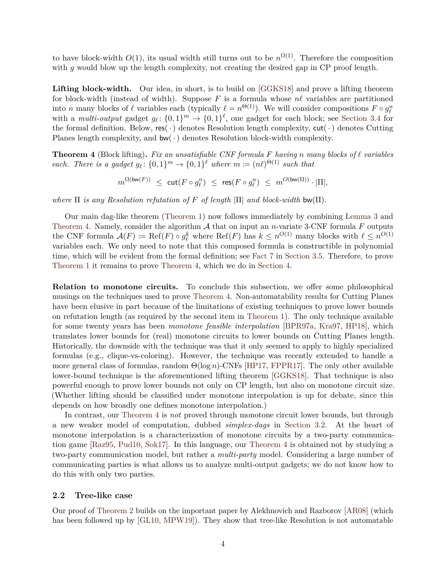to have block-width  $O(1)$ , its usual width still turns out to be  $n^{\Omega(1)}$ . Therefore the composition with *g* would blow up the length complexity, not creating the desired gap in CP proof length.

Lifting block-width. Our idea, in short, is to build on [\[GGKS18\]](#page-26-5) and prove a lifting theorem for block-width (instead of width). Suppose  $F$  is a formula whose  $n\ell$  variables are partitioned into *n* many blocks of  $\ell$  variables each (typically  $\ell = n^{\Theta(1)}$ ). We will consider compositions  $F \circ g_{\ell}^n$ with a *multi-output* gadget  $g_{\ell}$ :  $\{0,1\}^m \to \{0,1\}^{\ell}$ , one gadget for each block; see [Section 3.4](#page-8-0) for the formal definition. Below,  $res(\cdot)$  denotes Resolution length complexity,  $cut(\cdot)$  denotes Cutting Planes length complexity, and  $bw(\cdot)$  denotes Resolution block-width complexity.

<span id="page-4-1"></span>**Theorem 4** (Block lifting). Fix an unsatisfiable CNF formula F having *n* many blocks of  $\ell$  variables *each. There is a gadget*  $g_{\ell}$ :  $\{0,1\}^m \rightarrow \{0,1\}^{\ell}$  *where*  $m := (n\ell)^{\Theta(1)}$  *such that* 

 $m^{\Omega(\mathsf{bw}(F))} \ \leq \ \mathsf{cut}(F \circ g_\ell^n) \ \leq \ \mathsf{res}(F \circ g_\ell^n) \ \leq \ m^{O(\mathsf{bw}(\Pi))} \cdot |\Pi|,$ 

*where* Π *is any Resolution refutation of F of length* |Π| *and block-width* bw(Π)*.*

Our main dag-like theorem [\(Theorem 1\)](#page-2-4) now follows immediately by combining [Lemma 3](#page-3-3) and [Theorem 4.](#page-4-1) Namely, consider the algorithm  $A$  that on input an *n*-variate 3-CNF formula  $F$  outputs the CNF formula  $\mathcal{A}(F) \coloneqq \text{Ref}(F) \circ g_{\ell}^k$  where  $\text{Ref}(F)$  has  $k \leq n^{O(1)}$  many blocks with  $\ell \leq n^{O(1)}$ variables each. We only need to note that this composed formula is constructible in polynomial time, which will be evident from the formal definition; see [Fact 7](#page-9-2) in [Section 3.5.](#page-8-1) Therefore, to prove [Theorem 1](#page-2-4) it remains to prove [Theorem 4,](#page-4-1) which we do in [Section 4.](#page-9-0)

**Relation to monotone circuits.** To conclude this subsection, we offer some philosophical musings on the techniques used to prove [Theorem 4.](#page-4-1) Non-automatability results for Cutting Planes have been elusive in part because of the limitations of existing techniques to prove lower bounds on refutation length (as required by the second item in [Theorem 1\)](#page-2-4). The only technique available for some twenty years has been *monotone feasible interpolation* [\[BPR97a,](#page-25-10) [Kra97,](#page-27-7) [HP18\]](#page-27-8), which translates lower bounds for (real) monotone circuits to lower bounds on Cutting Planes length. Historically, the downside with the technique was that it only seemed to apply to highly specialized formulas (e.g., clique-vs-coloring). However, the technique was recently extended to handle a more general class of formulas, random Θ(log *n*)-CNFs [\[HP17,](#page-27-9) [FPPR17\]](#page-26-10). The only other available lower-bound technique is the aforementioned lifting theorem [\[GGKS18\]](#page-26-5). That technique is also powerful enough to prove lower bounds not only on CP length, but also on monotone circuit size. (Whether lifting should be classified under monotone interpolation is up for debate, since this depends on how broadly one defines monotone interpolation.)

In contrast, our [Theorem 4](#page-4-1) is *not* proved through monotone circuit lower bounds, but through a new weaker model of computation, dubbed *simplex-dags* in [Section 3.2.](#page-7-0) At the heart of monotone interpolation is a characterization of monotone circuits by a two-party communication game [\[Raz95,](#page-28-3) [Pud10,](#page-28-4) [Sok17\]](#page-28-5). In this language, our [Theorem 4](#page-4-1) is obtained not by studying a two-party communication model, but rather a *multi-party* model. Considering a large number of communicating parties is what allows us to analyze multi-output gadgets; we do not know how to do this with only two parties.

#### <span id="page-4-0"></span>**2.2 Tree-like case**

Our proof of [Theorem 2](#page-2-5) builds on the important paper by Alekhnovich and Razborov [\[AR08\]](#page-25-3) (which has been followed up by [\[GL10,](#page-26-1) [MPW19\]](#page-27-2)). They show that tree-like Resolution is not automatable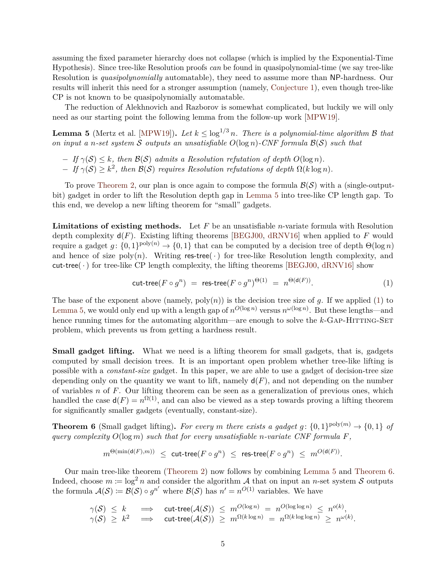assuming the fixed parameter hierarchy does not collapse (which is implied by the Exponential-Time Hypothesis). Since tree-like Resolution proofs *can* be found in quasipolynomial-time (we say tree-like Resolution is *quasipolynomially* automatable), they need to assume more than NP-hardness. Our results will inherit this need for a stronger assumption (namely, [Conjecture 1\)](#page-2-2), even though tree-like CP is not known to be quasipolynomially automatable.

The reduction of Alekhnovich and Razborov is somewhat complicated, but luckily we will only need as our starting point the following lemma from the follow-up work [\[MPW19\]](#page-27-2).

<span id="page-5-0"></span>**Lemma 5** (Mertz et al. [\[MPW19\]](#page-27-2)). Let  $k \leq \log^{1/3} n$ . There is a polynomial-time algorithm B that *on input a n-set system* S *outputs an unsatisfiable O*(log *n*)*-CNF formula* B(S) *such that*

- $-If \gamma(S) \leq k$ *, then*  $\mathcal{B}(S)$  *admits a Resolution refutation of depth O*(log *n*)*.*
- $-If \gamma(S) \geq k^2$ , then  $\mathcal{B}(S)$  *requires Resolution refutations of depth*  $\Omega(k \log n)$ *.*

To prove [Theorem 2,](#page-2-5) our plan is once again to compose the formula  $\mathcal{B}(\mathcal{S})$  with a (single-outputbit) gadget in order to lift the Resolution depth gap in [Lemma 5](#page-5-0) into tree-like CP length gap. To this end, we develop a new lifting theorem for "small" gadgets.

**Limitations of existing methods.** Let *F* be an unsatisfiable *n*-variate formula with Resolution depth complexity  $d(F)$ . Existing lifting theorems [\[BEGJ00,](#page-25-9) [dRNV16\]](#page-26-4) when applied to F would require a gadget  $g: \{0,1\}^{\text{poly}(n)} \to \{0,1\}$  that can be computed by a decision tree of depth  $\Theta(\log n)$ and hence of size poly $(n)$ . Writing res-tree( $\cdot$ ) for tree-like Resolution length complexity, and cut-tree( $\cdot$ ) for tree-like CP length complexity, the lifting theorems [\[BEGJ00,](#page-25-9) [dRNV16\]](#page-26-4) show

<span id="page-5-1"></span>
$$
\text{cut-tree}(F \circ g^n) = \text{res-tree}(F \circ g^n)^{\Theta(1)} = n^{\Theta(\mathsf{d}(F))}.
$$
 (1)

*.*

The base of the exponent above (namely,  $poly(n)$ ) is the decision tree size of *g*. If we applied [\(1\)](#page-5-1) to [Lemma 5,](#page-5-0) we would only end up with a length gap of  $n^{O(\log n)}$  versus  $n^{\omega(\log n)}$ . But these lengths—and hence running times for the automating algorithm—are enough to solve the *k*-GAP-HITTING-SET problem, which prevents us from getting a hardness result.

**Small gadget lifting.** What we need is a lifting theorem for small gadgets, that is, gadgets computed by small decision trees. It is an important open problem whether tree-like lifting is possible with a *constant-size* gadget. In this paper, we are able to use a gadget of decision-tree size depending only on the quantity we want to lift, namely  $d(F)$ , and not depending on the number of variables *n* of *F*. Our lifting theorem can be seen as a generalization of previous ones, which handled the case  $d(F) = n^{\Omega(1)}$ , and can also be viewed as a step towards proving a lifting theorem for significantly smaller gadgets (eventually, constant-size).

<span id="page-5-2"></span>**Theorem 6** (Small gadget lifting). For every *m* there exists a gadget  $g: \{0,1\}^{\text{poly}(m)} \to \{0,1\}$  of *query complexity O*(log *m*) *such that for every unsatisfiable n-variate CNF formula F,*

$$
m^{\Theta(\min(\mathsf{d}(F),m))} \ \leq \ \mathsf{cut-tree}(F \circ g^n) \ \leq \ \mathsf{res-tree}(F \circ g^n) \ \leq \ m^{O(\mathsf{d}(F))}
$$

Our main tree-like theorem [\(Theorem 2\)](#page-2-5) now follows by combining [Lemma 5](#page-5-0) and [Theorem 6.](#page-5-2) Indeed, choose  $m \coloneqq \log^2 n$  and consider the algorithm A that on input an *n*-set system S outputs the formula  $\mathcal{A}(\mathcal{S}) \coloneqq \mathcal{B}(\mathcal{S}) \circ g^{n'}$  where  $\mathcal{B}(\mathcal{S})$  has  $n' = n^{O(1)}$  variables. We have

$$
\begin{array}{rcl}\n\gamma(\mathcal{S}) & \leq & k \quad \implies \quad \text{cut-tree}(\mathcal{A}(\mathcal{S})) \ \leq & m^{O(\log n)} \ = \ n^{O(\log \log n)} \ \leq \ n^{o(k)}, \\
\gamma(\mathcal{S}) & \geq & k^2 \quad \implies \quad \text{cut-tree}(\mathcal{A}(\mathcal{S})) \ \geq \ m^{\Omega(k \log n)} \ = \ n^{\Omega(k \log \log n)} \ \geq \ n^{\omega(k)}.\n\end{array}
$$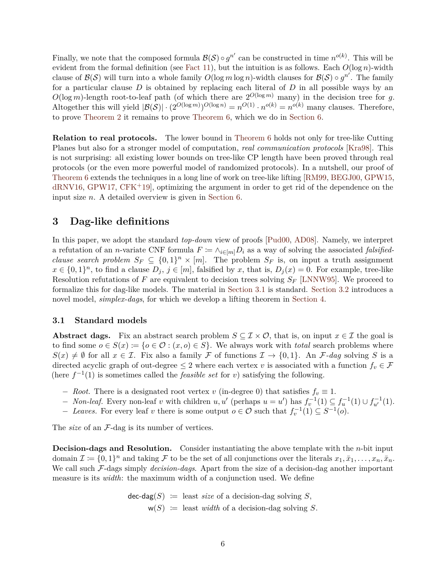Finally, we note that the composed formula  $\mathcal{B}(\mathcal{S}) \circ g^{n'}$  can be constructed in time  $n^{o(k)}$ . This will be evident from the formal definition (see [Fact 11\)](#page-13-2), but the intuition is as follows. Each  $O(\log n)$ -width clause of  $\mathcal{B}(\mathcal{S})$  will turn into a whole family  $O(\log m \log n)$ -width clauses for  $\mathcal{B}(\mathcal{S}) \circ g^{n'}$ . The family for a particular clause *D* is obtained by replacing each literal of *D* in all possible ways by an  $O(\log m)$ -length root-to-leaf path (of which there are  $2^{O(\log m)}$  many) in the decision tree for *q*. Altogether this will yield  $|\mathcal{B}(\mathcal{S})| \cdot (2^{O(\log m)})^{O(\log n)} = n^{O(1)} \cdot n^{o(k)} = n^{o(k)}$  many clauses. Therefore, to prove [Theorem 2](#page-2-5) it remains to prove [Theorem 6,](#page-5-2) which we do in [Section 6.](#page-14-1)

**Relation to real protocols.** The lower bound in [Theorem 6](#page-5-2) holds not only for tree-like Cutting Planes but also for a stronger model of computation, *real communication protocols* [\[Kra98\]](#page-27-10). This is not surprising: all existing lower bounds on tree-like CP length have been proved through real protocols (or the even more powerful model of randomized protocols). In a nutshell, our proof of [Theorem 6](#page-5-2) extends the techniques in a long line of work on tree-like lifting [\[RM99,](#page-28-1) [BEGJ00,](#page-25-9) [GPW15,](#page-26-11)  $dRNV16, GPW17, CFK<sup>+</sup>19$  $dRNV16, GPW17, CFK<sup>+</sup>19$  $dRNV16, GPW17, CFK<sup>+</sup>19$  $dRNV16, GPW17, CFK<sup>+</sup>19$  $dRNV16, GPW17, CFK<sup>+</sup>19$  $dRNV16, GPW17, CFK<sup>+</sup>19$ , optimizing the argument in order to get rid of the dependence on the input size *n*. A detailed overview is given in [Section 6.](#page-14-1)

# <span id="page-6-0"></span>**3 Dag-like definitions**

In this paper, we adopt the standard *top-down* view of proofs [\[Pud00,](#page-28-6) [AD08\]](#page-25-12). Namely, we interpret a refutation of an *n*-variate CNF formula  $F := \wedge_{i \in [m]} D_i$  as a way of solving the associated *falsifiedclause search problem*  $S_F \subseteq \{0,1\}^n \times [m]$ . The problem  $S_F$  is, on input a truth assignment  $x \in \{0,1\}^n$ , to find a clause  $D_j$ ,  $j \in [m]$ , falsified by *x*, that is,  $D_j(x) = 0$ . For example, tree-like Resolution refutations of *F* are equivalent to decision trees solving *S<sup>F</sup>* [\[LNNW95\]](#page-27-11). We proceed to formalize this for dag-like models. The material in [Section 3.1](#page-6-1) is standard. [Section 3.2](#page-7-0) introduces a novel model, *simplex-dags*, for which we develop a lifting theorem in [Section 4.](#page-9-0)

### <span id="page-6-1"></span>**3.1 Standard models**

**Abstract dags.** Fix an abstract search problem  $S \subseteq \mathcal{I} \times \mathcal{O}$ , that is, on input  $x \in \mathcal{I}$  the goal is to find some  $o \in S(x) := \{o \in \mathcal{O} : (x, o) \in S\}$ . We always work with *total* search problems where  $S(x) \neq \emptyset$  for all  $x \in \mathcal{I}$ . Fix also a family F of functions  $\mathcal{I} \to \{0,1\}$ . An F-dag solving S is a directed acyclic graph of out-degree  $\leq 2$  where each vertex *v* is associated with a function  $f_v \in \mathcal{F}$ (here  $f^{-1}(1)$  is sometimes called the *feasible set* for *v*) satisfying the following.

- $-$  *Root.* There is a designated root vertex *v* (in-degree 0) that satisfies  $f_v \equiv 1$ .
- *v Non-leaf.* Every non-leaf *v* with children *u, u'* (perhaps *u* = *u'*) has  $f_v^{-1}(1) \subseteq f_u^{-1}(1) \cup f_{u'}^{-1}(1)$ .
- *− Leaves.* For every leaf *v* there is some output  $o \in \mathcal{O}$  such that  $f_v^{-1}(1) \subseteq S^{-1}(o)$ .

The *size* of an  $\mathcal{F}$ -dag is its number of vertices.

**Decision-dags and Resolution.** Consider instantiating the above template with the *n*-bit input domain  $\mathcal{I} \coloneqq \{0,1\}^n$  and taking  $\mathcal{F}$  to be the set of all conjunctions over the literals  $x_1, \bar{x}_1, \ldots, x_n, \bar{x}_n$ . We call such F-dags simply *decision-dags*. Apart from the size of a decision-dag another important measure is its *width*: the maximum width of a conjunction used. We define

> $\mathsf{dec}\text{-}\mathsf{dag}(S) := \text{least size of a decision-day solving } S,$  $w(S) :=$  least *width* of a decision-dag solving *S*.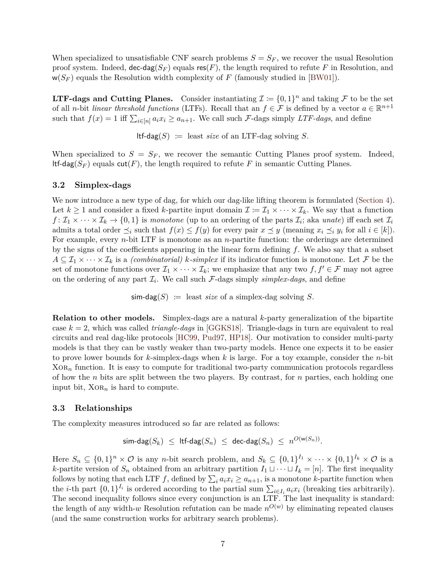When specialized to unsatisfiable CNF search problems  $S = S_F$ , we recover the usual Resolution proof system. Indeed,  $\text{dec-dag}(S_F)$  equals  $\text{res}(F)$ , the length required to refute F in Resolution, and  $w(S_F)$  equals the Resolution width complexity of F (famously studied in [\[BW01\]](#page-25-1)).

**LTF-dags and Cutting Planes.** Consider instantiating  $\mathcal{I} := \{0, 1\}^n$  and taking F to be the set of all *n*-bit *linear threshold functions* (LTFs). Recall that an  $f \in \mathcal{F}$  is defined by a vector  $a \in \mathbb{R}^{n+1}$ such that  $f(x) = 1$  iff  $\sum_{i \in [n]} a_i x_i \ge a_{n+1}$ . We call such F-dags simply *LTF-dags*, and define

 $ltf$ -dag(*S*) := least *size* of an LTF-dag solving *S*.

When specialized to  $S = S_F$ , we recover the semantic Cutting Planes proof system. Indeed, ltf-dag( $S_F$ ) equals cut(*F*), the length required to refute *F* in semantic Cutting Planes.

#### <span id="page-7-0"></span>**3.2 Simplex-dags**

We now introduce a new type of dag, for which our dag-like lifting theorem is formulated [\(Section 4\)](#page-9-0). Let  $k \geq 1$  and consider a fixed *k*-partite input domain  $\mathcal{I} := \mathcal{I}_1 \times \cdots \times \mathcal{I}_k$ . We say that a function  $f: \mathcal{I}_1 \times \cdots \times \mathcal{I}_k \to \{0,1\}$  is *monotone* (up to an ordering of the parts  $\mathcal{I}_i$ ; aka *unate*) iff each set  $\mathcal{I}_i$ admits a total order  $\preceq_i$  such that  $f(x) \leq f(y)$  for every pair  $x \preceq y$  (meaning  $x_i \preceq_i y_i$  for all  $i \in [k]$ ). For example, every *n*-bit LTF is monotone as an *n*-partite function: the orderings are determined by the signs of the coefficients appearing in the linear form defining *f*. We also say that a subset  $A \subseteq \mathcal{I}_1 \times \cdots \times \mathcal{I}_k$  is a *(combinatorial) k-simplex* if its indicator function is monotone. Let F be the set of monotone functions over  $\mathcal{I}_1 \times \cdots \times \mathcal{I}_k$ ; we emphasize that any two  $f, f' \in \mathcal{F}$  may not agree on the ordering of any part  $\mathcal{I}_i$ . We call such  $\mathcal{F}$ -dags simply *simplex-dags*, and define

 $\mathsf{sim\text{-}dag}(S) := \text{least size of a simplex-day solving } S.$ 

**Relation to other models.** Simplex-dags are a natural *k*-party generalization of the bipartite case *k* = 2, which was called *triangle-dags* in [\[GGKS18\]](#page-26-5). Triangle-dags in turn are equivalent to real circuits and real dag-like protocols [\[HC99,](#page-27-12) [Pud97,](#page-28-7) [HP18\]](#page-27-8). Our motivation to consider multi-party models is that they can be vastly weaker than two-party models. Hence one expects it to be easier to prove lower bounds for *k*-simplex-dags when *k* is large. For a toy example, consider the *n*-bit  $XOR<sub>n</sub>$  function. It is easy to compute for traditional two-party communication protocols regardless of how the *n* bits are split between the two players. By contrast, for *n* parties, each holding one input bit,  $XOR_n$  is hard to compute.

#### <span id="page-7-1"></span>**3.3 Relationships**

The complexity measures introduced so far are related as follows:

$$
\mathsf{sim}\text{-}\mathsf{dag}(S_k) \leq \mathsf{ltf}\text{-}\mathsf{dag}(S_n) \leq \mathsf{dec}\text{-}\mathsf{dag}(S_n) \leq n^{O(\mathsf{w}(S_n))}.
$$

Here  $S_n \subseteq \{0,1\}^n \times \mathcal{O}$  is any *n*-bit search problem, and  $S_k \subseteq \{0,1\}^{I_1} \times \cdots \times \{0,1\}^{I_k} \times \mathcal{O}$  is a *k*-partite version of  $S_n$  obtained from an arbitrary partition  $I_1 \sqcup \cdots \sqcup I_k = [n]$ . The first inequality follows by noting that each LTF  $f$ , defined by  $\sum_{i} a_i x_i \ge a_{n+1}$ , is a monotone *k*-partite function when the *i*-th part  $\{0,1\}^{I_i}$  is ordered according to the partial sum  $\sum_{i \in I_i} a_i x_i$  (breaking ties arbitrarily). The second inequality follows since every conjunction is an LTF. The last inequality is standard: the length of any width- $w$  Resolution refutation can be made  $n^{O(w)}$  by eliminating repeated clauses (and the same construction works for arbitrary search problems).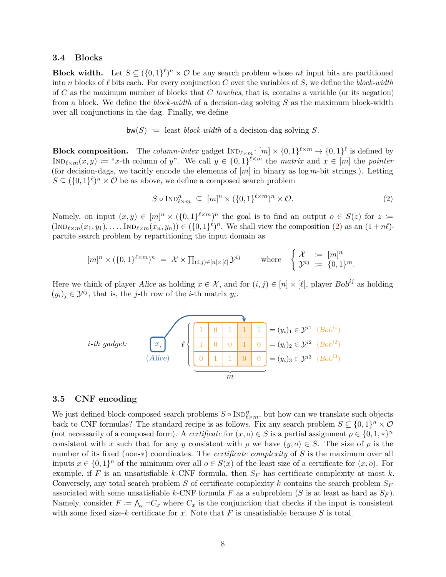#### <span id="page-8-0"></span>**3.4 Blocks**

**Block width.** Let  $S \subseteq (\{0,1\}^{\ell})^n \times \mathcal{O}$  be any search problem whose  $n\ell$  input bits are partitioned into *n* blocks of  $\ell$  bits each. For every conjunction *C* over the variables of *S*, we define the *block-width* of *C* as the maximum number of blocks that *C touches*, that is, contains a variable (or its negation) from a block. We define the *block-width* of a decision-dag solving *S* as the maximum block-width over all conjunctions in the dag. Finally, we define

$$
bw(S) := \text{least block-width of a decision-day solving } S.
$$

**Block composition.** The *column-index* gadget  $\text{IND}_{\ell \times m}$ :  $[m] \times \{0,1\}^{\ell \times m} \to \{0,1\}^{\ell}$  is defined by  $\text{IND}_{\ell \times m}(x, y) :=$  "*x*-th column of *y*". We call  $y \in \{0, 1\}^{\ell \times m}$  the *matrix* and  $x \in [m]$  the *pointer* (for decision-dags, we tacitly encode the elements of [*m*] in binary as log *m*-bit strings.). Letting  $S \subseteq (\{0,1\}^{\ell})^n \times \mathcal{O}$  be as above, we define a composed search problem

<span id="page-8-2"></span>
$$
S \circ \text{Ind}_{\ell \times m}^{n} \subseteq [m]^{n} \times (\{0,1\}^{\ell \times m})^{n} \times \mathcal{O}.
$$
 (2)

Namely, on input  $(x, y) \in [m]^n \times (\{0, 1\}^{\ell \times m})^n$  the goal is to find an output  $o \in S(z)$  for  $z =$  $(\text{Ind}_{\ell \times m}(x_1, y_1), \ldots, \text{Ind}_{\ell \times m}(x_n, y_n)) \in (\{0, 1\}^{\ell})^n$ . We shall view the composition [\(2\)](#page-8-2) as an  $(1 + n\ell)$ partite search problem by repartitioning the input domain as

$$
[m]^n \times (\{0,1\}^{\ell \times m})^n = \mathcal{X} \times \prod_{(i,j) \in [n] \times [\ell]} \mathcal{Y}^{ij} \quad \text{where} \quad \begin{cases} \mathcal{X} &:= [m]^n \\ \mathcal{Y}^{ij} &:= \{0,1\}^m. \end{cases}
$$

Here we think of player Alice as holding  $x \in \mathcal{X}$ , and for  $(i, j) \in [n] \times [\ell]$ , player Bob<sup>ij</sup> as holding  $(y_i)_j \in \mathcal{Y}^{ij}$ , that is, the *j*-th row of the *i*-th matrix  $y_i$ .



#### <span id="page-8-1"></span>**3.5 CNF encoding**

We just defined block-composed search problems  $S \circ \text{Ind}_{\ell \times m}^n$ , but how can we translate such objects back to CNF formulas? The standard recipe is as follows. Fix any search problem  $S \subseteq \{0,1\}^n \times \mathcal{O}$ (not necessarily of a composed form). A *certificate* for  $(x, o) \in S$  is a partial assignment  $\rho \in \{0, 1, \ast\}^n$ consistent with *x* such that for any *y* consistent with  $\rho$  we have  $(y, o) \in S$ . The size of  $\rho$  is the number of its fixed (non-∗) coordinates. The *certificate complexity* of *S* is the maximum over all inputs  $x \in \{0,1\}^n$  of the minimum over all  $o \in S(x)$  of the least size of a certificate for  $(x, o)$ . For example, if *F* is an unsatisfiable *k*-CNF formula, then  $S_F$  has certificate complexity at most *k*. Conversely, any total search problem *S* of certificate complexity *k* contains the search problem *S<sup>F</sup>* associated with some unsatisfiable *k*-CNF formula *F* as a subproblem (*S* is at least as hard as  $S_F$ ). Namely, consider  $F \coloneqq \bigwedge_x \neg C_x$  where  $C_x$  is the conjunction that checks if the input is consistent with some fixed size-*k* certificate for *x*. Note that *F* is unsatisfiable because *S* is total.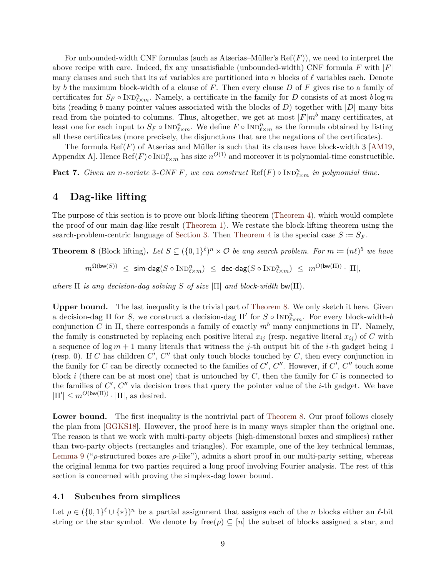For unbounded-width CNF formulas (such as Atserias–Müller's  $Ref(F)$ ), we need to interpret the above recipe with care. Indeed, fix any unsatisfiable (unbounded-width) CNF formula *F* with |*F*| many clauses and such that its  $n\ell$  variables are partitioned into *n* blocks of  $\ell$  variables each. Denote by *b* the maximum block-width of a clause of *F*. Then every clause *D* of *F* gives rise to a family of certificates for  $S_F \circ \text{Ind}_{\ell \times m}^n$ . Namely, a certificate in the family for *D* consists of at most  $b \log m$ bits (reading *b* many pointer values associated with the blocks of *D*) together with |*D*| many bits read from the pointed-to columns. Thus, altogether, we get at most  $|F|m^b$  many certificates, at least one for each input to  $S_F \circ \text{Ind}_{\ell \times m}^n$ . We define  $F \circ \text{Ind}_{\ell \times m}^n$  as the formula obtained by listing all these certificates (more precisely, the disjunctions that are the negations of the certificates).

The formula Ref( $F$ ) of Atserias and Müller is such that its clauses have block-width 3 [\[AM19,](#page-25-4) Appendix A]. Hence  $\text{Ref}(F) \circ \text{Ind}_{\ell \times m}^n$  has size  $n^{O(1)}$  and moreover it is polynomial-time constructible.

<span id="page-9-2"></span>**Fact 7.** *Given an n-variate* 3*-CNF F, we can construct*  $\text{Ref}(F) \circ \text{Ind}_{\ell \times m}^n$  *in polynomial time.* 

### <span id="page-9-0"></span>**4 Dag-like lifting**

The purpose of this section is to prove our block-lifting theorem [\(Theorem 4\)](#page-4-1), which would complete the proof of our main dag-like result [\(Theorem 1\)](#page-2-4). We restate the block-lifting theorem using the search-problem-centric language of [Section 3.](#page-6-0) Then [Theorem 4](#page-4-1) is the special case  $S \coloneqq S_F$ .

<span id="page-9-3"></span>**Theorem 8** (Block lifting). Let  $S \subseteq (\{0,1\}^{\ell})^n \times \mathcal{O}$  be any search problem. For  $m \coloneqq (n\ell)^5$  we have  $m^{\Omega(\mathsf{bw}(S))} \ \leq \ \mathsf{sim}\text{-}\mathsf{dag}(S\circ\text{Ind}_{\ell \times m}^n) \ \leq \ \mathsf{dec}\text{-}\mathsf{dag}(S\circ\text{Ind}_{\ell \times m}^n) \ \leq \ m^{O(\mathsf{bw}(\Pi))}\cdot |\Pi|,$ 

*where*  $\Pi$  *is any decision-dag solving*  $S$  *of size*  $|\Pi|$  *and block-width* bw $(\Pi)$ *.* 

**Upper bound.** The last inequality is the trivial part of [Theorem 8.](#page-9-3) We only sketch it here. Given a decision-dag  $\Pi$  for *S*, we construct a decision-dag  $\Pi'$  for  $S \circ \text{Ind}_{\ell \times m}^n$ . For every block-width-*b* conjunction *C* in  $\Pi$ , there corresponds a family of exactly  $m<sup>b</sup>$  many conjunctions in  $\Pi'$ . Namely, the family is constructed by replacing each positive literal  $x_{ij}$  (resp. negative literal  $\bar{x}_{ij}$ ) of *C* with a sequence of log *m* + 1 many literals that witness the *j*-th output bit of the *i*-th gadget being 1 (resp. 0). If *C* has children  $C'$ ,  $C''$  that only touch blocks touched by  $C$ , then every conjunction in the family for *C* can be directly connected to the families of  $C'$ ,  $C''$ . However, if  $C'$ ,  $C''$  touch some block *i* (there can be at most one) that is untouched by *C*, then the family for *C* is connected to the families of  $C'$ ,  $C''$  via decision trees that query the pointer value of the *i*-th gadget. We have  $|\Pi'| \leq m^{O(\text{bw}(\Pi))} \cdot |\Pi|$ , as desired.

Lower bound. The first inequality is the nontrivial part of [Theorem 8.](#page-9-3) Our proof follows closely the plan from [\[GGKS18\]](#page-26-5). However, the proof here is in many ways simpler than the original one. The reason is that we work with multi-party objects (high-dimensional boxes and simplices) rather than two-party objects (rectangles and triangles). For example, one of the key technical lemmas, [Lemma 9](#page-10-0) ("*ρ*-structured boxes are *ρ*-like"), admits a short proof in our multi-party setting, whereas the original lemma for two parties required a long proof involving Fourier analysis. The rest of this section is concerned with proving the simplex-dag lower bound.

### <span id="page-9-1"></span>**4.1 Subcubes from simplices**

Let  $\rho \in (\{0,1\}^{\ell} \cup \{*\})^n$  be a partial assignment that assigns each of the *n* blocks either an  $\ell$ -bit string or the star symbol. We denote by free $(\rho) \subseteq [n]$  the subset of blocks assigned a star, and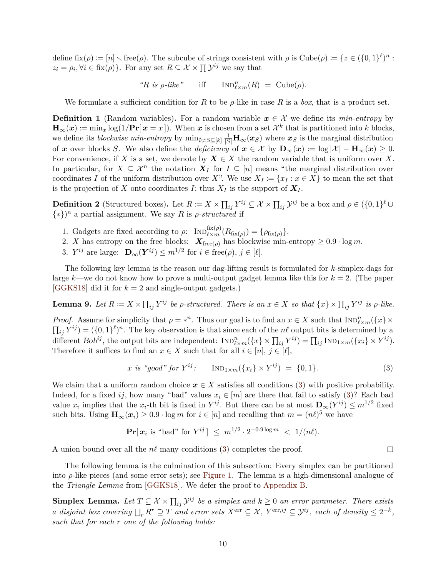define  $fix(\rho) := [n] \setminus free(\rho)$ . The subcube of strings consistent with  $\rho$  is  $Cube(\rho) := \{z \in (\{0,1\}^{\ell})^n : z \in (\{0,1\}^{\ell})^n\}$  $z_i = \rho_i, \forall i \in \text{fix}(\rho)$ . For any set  $R \subseteq \mathcal{X} \times \prod \mathcal{Y}^{ij}$  we say that

 $R$  *is ρ*-*like*" iff  $\text{IND}_{\ell \times m}^n(R) = \text{Cube}(\rho).$ 

We formulate a sufficient condition for *R* to be  $\rho$ -like in case *R* is a *box*, that is a product set.

<span id="page-10-3"></span>**Definition 1** (Random variables). For a random variable  $x \in \mathcal{X}$  we define its *min-entropy* by  $\mathbf{H}_{\infty}(\boldsymbol{x}) \coloneqq \min_{x} \log(1/\mathbf{Pr}[\boldsymbol{x} = x])$ . When  $\boldsymbol{x}$  is chosen from a set  $\mathcal{X}^k$  that is partitioned into *k* blocks, we define its *blockwise min-entropy* by  $\min_{\emptyset \neq S \subseteq [k]} \frac{1}{|S|} \mathbf{H}_{\infty}(x_S)$  where  $x_S$  is the marginal distribution of *x* over blocks *S*. We also define the *deficiency* of  $x \in \mathcal{X}$  by  $\mathbf{D}_{\infty}(x) := \log |\mathcal{X}| - \mathbf{H}_{\infty}(x) \geq 0$ . For convenience, if *X* is a set, we denote by  $X \in X$  the random variable that is uniform over *X*. In particular, for  $X \subseteq \mathcal{X}^n$  the notation  $X_I$  for  $I \subseteq [n]$  means "the marginal distribution over coordinates *I* of the uniform distribution over *X*". We use  $X_I := \{x_I : x \in X\}$  to mean the set that is the projection of *X* onto coordinates *I*; thus  $X_I$  is the support of  $X_I$ .

<span id="page-10-4"></span>**Definition 2** (Structured boxes). Let  $R \coloneqq X \times \prod_{ij} Y^{ij} \subseteq \mathcal{X} \times \prod_{ij} \mathcal{Y}^{ij}$  be a box and  $\rho \in (\{0,1\}^{\ell} \cup$  $\{*\}^n$  a partial assignment. We say R is *ρ*-structured if

- 1. Gadgets are fixed according to  $\rho$ :  $\text{Ind}_{\ell \times m}^{\text{fix}(\rho)}(R_{\text{fix}(\rho)}) = \{\rho_{\text{fix}(\rho)}\}.$
- 2. *X* has entropy on the free blocks:  $\mathbf{X}_{\text{free}(\rho)}$  has blockwise min-entropy  $\geq 0.9 \cdot \log m$ .
- 3. *Y*<sup>*ij*</sup> are large:  $\mathbf{D}_{\infty}(\mathbf{Y}^{ij}) \leq m^{1/2}$  for  $i \in \text{free}(\rho), j \in [\ell].$

The following key lemma is the reason our dag-lifting result is formulated for *k*-simplex-dags for large  $k$ —we do not know how to prove a multi-output gadget lemma like this for  $k = 2$ . (The paper [\[GGKS18\]](#page-26-5) did it for  $k = 2$  and single-output gadgets.)

<span id="page-10-0"></span>**Lemma 9.** Let  $R \coloneqq X \times \prod_{ij} Y^{ij}$  be  $\rho$ -structured. There is an  $x \in X$  so that  $\{x\} \times \prod_{ij} Y^{ij}$  is  $\rho$ -like.

*Proof.* Assume for simplicity that  $\rho = *^n$ . Thus our goal is to find an  $x \in X$  such that  $\text{Ind}_{\ell \times m}^n({x} \times {x}$  $\prod_{ij} Y^{ij} = (\{0,1\}^{\ell})^n$ . The key observation is that since each of the *n*<sup> $\ell$ </sup> output bits is determined by a different  $Bob^{ij}$ , the output bits are independent:  $\text{Ind}_{\ell \times m}^n({x} \times \prod_{ij} Y^{ij}) = \prod_{ij} \text{Ind}_{1 \times m}({x}_i \times Y^{ij})$ . Therefore it suffices to find an  $x \in X$  such that for all  $i \in [n], j \in [\ell],$ 

<span id="page-10-1"></span>
$$
x \text{ is "good" for } Y^{ij}
$$
:  $\text{IND}_{1 \times m}(\{x_i\} \times Y^{ij}) = \{0, 1\}.$  (3)

We claim that a uniform random choice  $x \in X$  satisfies all conditions [\(3\)](#page-10-1) with positive probability. Indeed, for a fixed *ij*, how many "bad" values  $x_i \in [m]$  are there that fail to satisfy [\(3\)](#page-10-1)? Each bad value  $x_i$  implies that the  $x_i$ -th bit is fixed in  $Y^{ij}$ . But there can be at most  $\mathbf{D}_{\infty}(Y^{ij}) \leq m^{1/2}$  fixed such bits. Using  $\mathbf{H}_{\infty}(x_i) \geq 0.9 \cdot \log m$  for  $i \in [n]$  and recalling that  $m = (n\ell)^5$  we have

$$
\Pr[x_i \text{ is "bad" for } Y^{ij}] \leq m^{1/2} \cdot 2^{-0.9 \log m} < 1/(n\ell).
$$

A union bound over all the  $n\ell$  many conditions [\(3\)](#page-10-1) completes the proof.

The following lemma is the culmination of this subsection: Every simplex can be partitioned into *ρ*-like pieces (and some error sets); see [Figure 1.](#page-11-1) The lemma is a high-dimensional analogue of the *Triangle Lemma* from [\[GGKS18\]](#page-26-5). We defer the proof to [Appendix B.](#page-23-0)

<span id="page-10-2"></span>**Simplex Lemma.** Let  $T \subseteq \mathcal{X} \times \prod_{ij} \mathcal{Y}^{ij}$  be a simplex and  $k \geq 0$  an error parameter. There exists *a* disjoint box covering  $\bigcup_r R^r \supseteq T$  and error sets  $X^{\text{err}} \subseteq \mathcal{X}$ ,  $Y^{\text{err},ij} \subseteq \mathcal{Y}^{ij}$ , each of density  $\leq 2^{-k}$ , *such that for each r one of the following holds:*

 $\Box$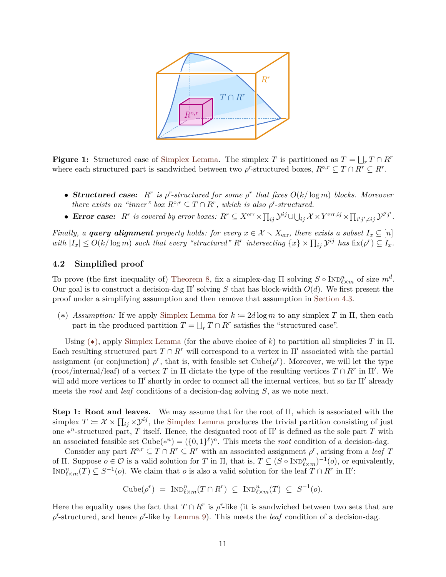<span id="page-11-1"></span>

**Figure 1:** Structured case of [Simplex Lemma.](#page-10-2) The simplex *T* is partitioned as  $T = \bigsqcup_r T \cap R^r$ where each structured part is sandwiched between two  $\rho^r$ -structured boxes,  $R^{\circ,r} \subseteq T \cap R^r \subseteq R^r$ .

- **Structured case:**  $R^r$  is  $\rho^r$ -structured for some  $\rho^r$  that fixes  $O(k/\log m)$  blocks. Moreover *there exists an "inner" box*  $R^{\circ,r} \subseteq T \cap R^r$ , which is also  $\rho^r$ -structured.
- Error case:  $R^r$  is covered by error boxes:  $R^r \subseteq X^{\text{err}} \times \prod_{ij} \mathcal{Y}^{ij} \cup \bigcup_{ij} \mathcal{X} \times Y^{\text{err},ij} \times \prod_{i'j' \neq ij} \mathcal{Y}^{i'j'}.$

*Finally, a query alignment property holds: for every*  $x \in \mathcal{X} \setminus X_{\text{err}}$ , there exists a subset  $I_x \subseteq [n]$ with  $|I_x| \le O(k/\log m)$  such that every "structured" R<sup>r</sup> intersecting  $\{x\} \times \prod_{ij} \mathcal{Y}^{ij}$  has  $\text{fix}(\rho^r) \subseteq I_x$ .

#### <span id="page-11-0"></span>**4.2 Simplified proof**

To prove (the first inequality of) [Theorem 8,](#page-9-3) fix a simplex-dag  $\Pi$  solving  $S \circ \text{Ind}_{\ell \times m}^n$  of size  $m^d$ . Our goal is to construct a decision-dag  $\Pi'$  solving *S* that has block-width  $O(d)$ . We first present the proof under a simplifying assumption and then remove that assumption in [Section 4.3.](#page-12-0)

<span id="page-11-2"></span>(\*) *Assumption:* If we apply [Simplex Lemma](#page-10-2) for  $k \coloneqq 2d \log m$  to any simplex T in  $\Pi$ , then each part in the produced partition  $T = \bigsqcup_r T \cap R^r$  satisfies the "structured case".

Using (**[∗](#page-11-2)**), apply [Simplex Lemma](#page-10-2) (for the above choice of *k*) to partition all simplicies *T* in Π. Each resulting structured part  $T \cap R^r$  will correspond to a vertex in  $\Pi'$  associated with the partial assignment (or conjunction)  $\rho^r$ , that is, with feasible set Cube( $\rho^r$ ). Moreover, we will let the type (root/internal/leaf) of a vertex *T* in  $\Pi$  dictate the type of the resulting vertices  $T \cap R^r$  in  $\Pi'$ . We will add more vertices to  $\Pi'$  shortly in order to connect all the internal vertices, but so far  $\Pi'$  already meets the *root* and *leaf* conditions of a decision-dag solving *S*, as we note next.

**Step 1: Root and leaves.** We may assume that for the root of Π, which is associated with the simplex  $T \coloneqq \mathcal{X} \times \prod_{ij} \times \mathcal{Y}^{ij}$ , the [Simplex Lemma](#page-10-2) produces the trivial partition consisting of just one  $*^n$ -structured part, *T* itself. Hence, the designated root of  $\Pi'$  is defined as the sole part *T* with an associated feasible set  $Cube(*^n) = (\{0,1\}^{\ell})^n$ . This meets the *root* condition of a decision-dag.

Consider any part  $R^{\circ,r} \subseteq T \cap R^r \subseteq R^r$  with an associated assignment  $\rho^r$ , arising from a *leaf T* of  $\Pi$ . Suppose  $o \in \mathcal{O}$  is a valid solution for *T* in  $\Pi$ , that is,  $T \subseteq (S \circ \text{Ind}_{\ell \times m}^n)^{-1}(o)$ , or equivalently,  $\text{Ind}_{\ell \times m}^n(T) \subseteq S^{-1}(o)$ . We claim that *o* is also a valid solution for the leaf  $T \cap R^r$  in  $\Pi'$ :

$$
\mathrm{Cube}(\rho^r) = \mathrm{IND}_{\ell \times m}^n(T \cap R^r) \subseteq \mathrm{IND}_{\ell \times m}^n(T) \subseteq S^{-1}(o).
$$

Here the equality uses the fact that  $T \cap R^r$  is  $\rho^r$ -like (it is sandwiched between two sets that are  $\rho^r$ -structured, and hence  $\rho^r$ -like by [Lemma 9\)](#page-10-0). This meets the *leaf* condition of a decision-dag.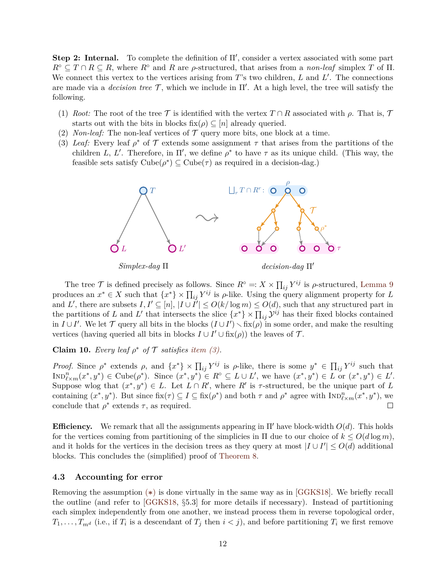**Step 2: Internal.** To complete the definition of  $\Pi'$ , consider a vertex associated with some part  $R^{\circ} \subseteq T \cap R \subseteq R$ , where  $R^{\circ}$  and *R* are *ρ*-structured, that arises from a *non-leaf* simplex *T* of II. We connect this vertex to the vertices arising from T's two children, *L* and *L'*. The connections are made via a *decision tree*  $\mathcal{T}$ , which we include in  $\Pi'$ . At a high level, the tree will satisfy the following.

- (1) *Root:* The root of the tree  $\mathcal T$  is identified with the vertex  $T \cap R$  associated with  $\rho$ . That is,  $\mathcal T$ starts out with the bits in blocks  $fix(\rho) \subseteq [n]$  already queried.
- (2) *Non-leaf:* The non-leaf vertices of  $\mathcal T$  query more bits, one block at a time.
- <span id="page-12-1"></span>(3) *Leaf:* Every leaf  $\rho^*$  of  $\mathcal T$  extends some assignment  $\tau$  that arises from the partitions of the children *L*, *L'*. Therefore, in  $\Pi'$ , we define  $\rho^*$  to have  $\tau$  as its unique child. (This way, the feasible sets satisfy  $Cube(\rho^*) \subseteq Cube(\tau)$  as required in a decision-dag.)



The tree  $\mathcal T$  is defined precisely as follows. Since  $R^\circ =: X \times \prod_{ij} Y^{ij}$  is  $\rho$ -structured, [Lemma 9](#page-10-0) produces an  $x^* \in X$  such that  $\{x^*\}\times \prod_{ij} Y^{ij}$  is  $\rho$ -like. Using the query alignment property for *L* and *L'*, there are subsets  $I, I' \subseteq [n], |I \cup I'| \leq O(k/\log m) \leq O(d)$ , such that any structured part in the partitions of *L* and *L*<sup> $\prime$ </sup> that intersects the slice  $\{x^*\}\times \prod_{ij} \mathcal{Y}^{ij}$  has their fixed blocks contained in  $I \cup I'$ . We let  $\mathcal T$  query all bits in the blocks  $(I \cup I') \setminus fix(\rho)$  in some order, and make the resulting vertices (having queried all bits in blocks  $I \cup I' \cup fix(\rho)$ ) the leaves of  $\mathcal{T}$ .

### **Claim 10.** *Every leaf*  $\rho^*$  *of*  $\mathcal T$  *satisfies [item \(3\).](#page-12-1)*

*Proof.* Since  $\rho^*$  extends  $\rho$ , and  $\{x^*\}\times \prod_{ij} Y^{ij}$  is  $\rho$ -like, there is some  $y^* \in \prod_{ij} Y^{ij}$  such that  $\text{Ind}_{\ell \times m}^{n}(x^*,y^*) \in \text{Cube}(\rho^*)$ . Since  $(x^*,y^*) \in R^{\circ} \subseteq L \cup L'$ , we have  $(x^*,y^*) \in L$  or  $(x^*,y^*) \in L'.$ Suppose wlog that  $(x^*, y^*) \in L$ . Let  $L \cap R'$ , where  $R'$  is  $\tau$ -structured, be the unique part of *L* containing  $(x^*, y^*)$ . But since  $fix(\tau) \subseteq I \subseteq fix(\rho^*)$  and both  $\tau$  and  $\rho^*$  agree with  $Inp_{\ell \times m}^n(x^*, y^*)$ , we conclude that  $\rho^*$  extends  $\tau$ , as required.  $\Box$ 

**Efficiency.** We remark that all the assignments appearing in  $\Pi'$  have block-width  $O(d)$ . This holds for the vertices coming from partitioning of the simplicies in  $\Pi$  due to our choice of  $k \leq O(d \log m)$ , and it holds for the vertices in the decision trees as they query at most  $|I \cup I'| \leq O(d)$  additional blocks. This concludes the (simplified) proof of [Theorem 8.](#page-9-3)

#### <span id="page-12-0"></span>**4.3 Accounting for error**

Removing the assumption (**[∗](#page-11-2)**) is done virtually in the same way as in [\[GGKS18\]](#page-26-5). We briefly recall the outline (and refer to [\[GGKS18,](#page-26-5) §5.3] for more details if necessary). Instead of partitioning each simplex independently from one another, we instead process them in reverse topological order,  $T_1, \ldots, T_{m^d}$  (i.e., if  $T_i$  is a descendant of  $T_j$  then  $i < j$ ), and before partitioning  $T_i$  we first remove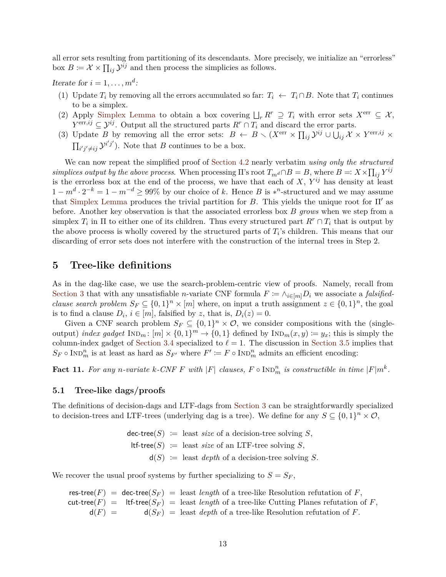all error sets resulting from partitioning of its descendants. More precisely, we initialize an "errorless" box  $B \coloneqq \mathcal{X} \times \prod_{ij} \mathcal{Y}^{ij}$  and then process the simplicies as follows.

Iterate for  $i = 1, \ldots, m^d$ :

- (1) Update  $T_i$  by removing all the errors accumulated so far:  $T_i \leftarrow T_i \cap B$ . Note that  $T_i$  continues to be a simplex.
- (2) Apply [Simplex Lemma](#page-10-2) to obtain a box covering  $\bigcup_r R^r \supseteq T_i$  with error sets  $X^{\text{err}} \subseteq \mathcal{X}$ ,  $Y^{\text{err},ij} \subseteq \mathcal{Y}^{ij}$ . Output all the structured parts  $R^r \cap T_i$  and discard the error parts.
- (3) Update *B* by removing all the error sets:  $B \leftarrow B \setminus (X^{\text{err}} \times \prod_{ij} \mathcal{Y}^{ij} \cup \bigcup_{ij} \mathcal{X} \times Y^{\text{err},ij} \times$  $\prod_{i'j' \neq ij} \mathcal{Y}^{i'j'}$ . Note that *B* continues to be a box.

We can now repeat the simplified proof of [Section 4.2](#page-11-0) nearly verbatim *using only the structured simplices output by the above process.* When processing  $\Pi$ 's root  $T_{m}$ *d* $\cap$ *B* = *B*, where *B* =:  $X \times \prod_{ij} Y^{ij}$ is the errorless box at the end of the process, we have that each of  $X, Y^{ij}$  has density at least  $1 - m^d \cdot 2^{-k} = 1 - m^{-d} \geq 99\%$  by our choice of *k*. Hence *B* is \*<sup>n</sup>-structured and we may assume that [Simplex Lemma](#page-10-2) produces the trivial partition for *B*. This yields the unique root for  $\Pi'$  as before. Another key observation is that the associated errorless box *B grows* when we step from a simplex  $T_i$  in  $\Pi$  to either one of its children. Thus every structured part  $R^r \cap T_i$  that is output by the above process is wholly covered by the structured parts of  $T_i$ 's children. This means that our discarding of error sets does not interfere with the construction of the internal trees in Step 2.

### <span id="page-13-0"></span>**5 Tree-like definitions**

As in the dag-like case, we use the search-problem-centric view of proofs. Namely, recall from [Section 3](#page-6-0) that with any unsatisfiable *n*-variate CNF formula  $F \coloneqq \wedge_{i \in [m]} D_i$  we associate a *falsifiedclause search problem*  $S_F \subseteq \{0,1\}^n \times [m]$  where, on input a truth assignment  $z \in \{0,1\}^n$ , the goal is to find a clause  $D_i$ ,  $i \in [m]$ , falsified by *z*, that is,  $D_i(z) = 0$ .

Given a CNF search problem  $S_F \subseteq \{0,1\}^n \times \mathcal{O}$ , we consider compositions with the (singleoutput) *index gadget*  $\text{IND}_m: [m] \times \{0,1\}^m \to \{0,1\}$  defined by  $\text{IND}_m(x, y) := y_x$ ; this is simply the column-index gadget of [Section 3.4](#page-8-0) specialized to  $\ell = 1$ . The discussion in [Section 3.5](#page-8-1) implies that  $S_F \circ \text{Ind}_{m}^{n}$  is at least as hard as  $S_{F'}$  where  $F' := F \circ \text{Ind}_{m}^{n}$  admits an efficient encoding:

<span id="page-13-2"></span>**Fact 11.** For any *n*-variate  $k$ -CNF  $F$  with  $|F|$  clauses,  $F \circ \text{IND}_{m}^{n}$  is constructible in time  $|F|m^{k}$ .

#### <span id="page-13-1"></span>**5.1 Tree-like dags/proofs**

The definitions of decision-dags and LTF-dags from [Section 3](#page-6-0) can be straightforwardly specialized to decision-trees and LTF-trees (underlying dag is a tree). We define for any  $S \subseteq \{0,1\}^n \times \mathcal{O}$ ,

> $\text{dec-tree}(S) := \text{least size of a decision-tree solving } S,$  $ltf-tree(S) :=$  least *size* of an LTF-tree solving *S*,  $d(S) :=$  least *depth* of a decision-tree solving *S*.

We recover the usual proof systems by further specializing to  $S = S_F$ ,

res-tree( $F$ ) = dec-tree( $S_F$ ) = least *length* of a tree-like Resolution refutation of  $F$ , cut-tree( $F$ ) = ltf-tree( $S_F$ ) = least *length* of a tree-like Cutting Planes refutation of  $F$ ,  $d(F) = d(S_F) =$  least *depth* of a tree-like Resolution refutation of *F*.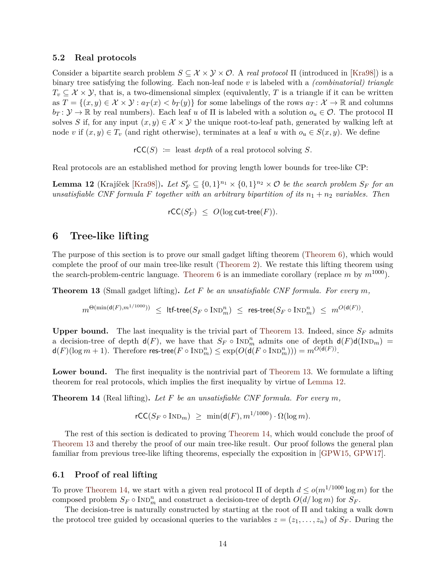#### <span id="page-14-0"></span>**5.2 Real protocols**

Consider a bipartite search problem  $S \subseteq \mathcal{X} \times \mathcal{Y} \times \mathcal{O}$ . A *real protocol*  $\Pi$  (introduced in [\[Kra98\]](#page-27-10)) is a binary tree satisfying the following. Each non-leaf node *v* is labeled with a *(combinatorial) triangle*  $T_v \subseteq \mathcal{X} \times \mathcal{Y}$ , that is, a two-dimensional simplex (equivalently, *T* is a triangle if it can be written as  $T = \{(x, y) \in \mathcal{X} \times \mathcal{Y} : a_T(x) < b_T(y)\}\$ for some labelings of the rows  $a_T \colon \mathcal{X} \to \mathbb{R}$  and columns  $b_T: \mathcal{Y} \to \mathbb{R}$  by real numbers). Each leaf *u* of  $\Pi$  is labeled with a solution  $o_u \in \mathcal{O}$ . The protocol  $\Pi$ solves *S* if, for any input  $(x, y) \in \mathcal{X} \times \mathcal{Y}$  the unique root-to-leaf path, generated by walking left at node *v* if  $(x, y) \in T_v$  (and right otherwise), terminates at a leaf *u* with  $o_u \in S(x, y)$ . We define

 $rCC(S) :=$  least *depth* of a real protocol solving *S*.

Real protocols are an established method for proving length lower bounds for tree-like CP:

<span id="page-14-4"></span>**Lemma 12** (Krajíček [\[Kra98\]](#page-27-10)). Let  $S'_F \subseteq \{0,1\}^{n_1} \times \{0,1\}^{n_2} \times \mathcal{O}$  be the search problem  $S_F$  for an *unsatisfiable CNF formula F together with an arbitrary bipartition of its*  $n_1 + n_2$  *variables. Then* 

 $r\mathsf{CC}(S'_F) \leq O(\log \mathsf{cut}\text{-}\mathsf{tree}(F)).$ 

### <span id="page-14-1"></span>**6 Tree-like lifting**

The purpose of this section is to prove our small gadget lifting theorem [\(Theorem 6\)](#page-5-2), which would complete the proof of our main tree-like result [\(Theorem 2\)](#page-2-5). We restate this lifting theorem using the search-problem-centric language. [Theorem 6](#page-5-2) is an immediate corollary (replace  $m$  by  $m^{1000}$ ).

<span id="page-14-3"></span>**Theorem 13** (Small gadget lifting)**.** *Let F be an unsatisfiable CNF formula. For every m,*

 $m^{\Theta(\min(\mathsf{d}(F),m^{1/1000}))} \ \leq \ \mathsf{ltf\text{-}tree}(S_F\circ\text{IND}_m^n) \ \leq \ \mathsf{res\text{-}tree}(S_F\circ\text{IND}_m^n) \ \leq \ m^{O(\mathsf{d}(F))}.$ 

**Upper bound.** The last inequality is the trivial part of [Theorem 13.](#page-14-3) Indeed, since *S<sup>F</sup>* admits a decision-tree of depth  $d(F)$ , we have that  $S_F \circ \text{Ind}_m^n$  admits one of depth  $d(F)d(\text{Ind}_m) =$  $d(F)(\log m + 1)$ . Therefore  $\text{res-tree}(F \circ \text{Ind}_{m}^{n}) \leq \exp(O(d(F \circ \text{Ind}_{m}^{n}))) = m^{O(d(F))}$ .

Lower bound. The first inequality is the nontrivial part of [Theorem 13.](#page-14-3) We formulate a lifting theorem for real protocols, which implies the first inequality by virtue of [Lemma 12.](#page-14-4)

<span id="page-14-5"></span>**Theorem 14** (Real lifting)**.** *Let F be an unsatisfiable CNF formula. For every m,*

 $rCC(S_F \circ \text{IND}_m) > \min(\mathsf{d}(F), m^{1/1000}) \cdot \Omega(\log m).$ 

The rest of this section is dedicated to proving [Theorem 14,](#page-14-5) which would conclude the proof of [Theorem 13](#page-14-3) and thereby the proof of our main tree-like result. Our proof follows the general plan familiar from previous tree-like lifting theorems, especially the exposition in [\[GPW15,](#page-26-11) [GPW17\]](#page-26-12).

#### <span id="page-14-2"></span>**6.1 Proof of real lifting**

To prove [Theorem 14,](#page-14-5) we start with a given real protocol  $\Pi$  of depth  $d \le o(m^{1/1000} \log m)$  for the composed problem  $S_F \circ \text{Ind}_{m}^{n}$  and construct a decision-tree of depth  $O(d/\log m)$  for  $S_F$ .

The decision-tree is naturally constructed by starting at the root of Π and taking a walk down the protocol tree guided by occasional queries to the variables  $z = (z_1, \ldots, z_n)$  of  $S_F$ . During the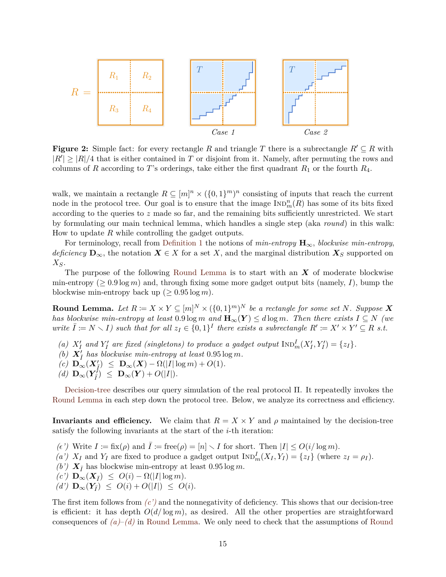<span id="page-15-4"></span>

**Figure 2:** Simple fact: for every rectangle R and triangle T there is a subrectangle  $R' \subseteq R$  with  $|R'| \geq |R|/4$  that is either contained in *T* or disjoint from it. Namely, after permuting the rows and columns of *R* according to *T*'s orderings, take either the first quadrant  $R_1$  or the fourth  $R_4$ .

walk, we maintain a rectangle  $R \subseteq [m]^n \times (\{0,1\}^m)^n$  consisting of inputs that reach the current node in the protocol tree. Our goal is to ensure that the image  $\text{Ind}_{m}^{n}(R)$  has some of its bits fixed according to the queries to *z* made so far, and the remaining bits sufficiently unrestricted. We start by formulating our main technical lemma, which handles a single step (aka *round*) in this walk: How to update *R* while controlling the gadget outputs.

For terminology, recall from [Definition 1](#page-10-3) the notions of *min-entropy* **H**∞, *blockwise min-entropy*, *deficiency*  $\mathbf{D}_{\infty}$ , the notation  $\mathbf{X} \in X$  for a set *X*, and the marginal distribution  $\mathbf{X}_S$  supported on *XS*.

The purpose of the following [Round Lemma](#page-15-0) is to start with an *X* of moderate blockwise min-entropy ( $\geq 0.9 \log m$ ) and, through fixing some more gadget output bits (namely, *I*), bump the blockwise min-entropy back up ( $\geq 0.95 \log m$ ).

<span id="page-15-0"></span>**Round Lemma.** Let  $R \coloneqq X \times Y \subseteq [m]^N \times (\{0,1\}^m)^N$  be a rectangle for some set N. Suppose X *has blockwise min-entropy at least* 0.9 log *m* and  $\mathbf{H}_{\infty}(\mathbf{Y}) \leq d \log m$ *. Then there exists*  $I \subseteq N$  *(we write*  $\overline{I} := N \setminus I$  *such that for all*  $z_I \in \{0,1\}^I$  *there exists a subrectangle*  $R' := X' \times Y' \subseteq R$  *s.t.* 

- <span id="page-15-2"></span>(a)  $X'_I$  and  $Y'_I$  are fixed (singletons) to produce a gadget output  $\text{Ind}_m^I(X'_I, Y'_I) = \{z_I\}.$
- (b)  $X'_{\overline{I}}$  has blockwise min-entropy at least  $0.95 \log m$ .
- $(C)$   $\mathbf{D}_{\infty}^{\prime}(X_{\overline{I}}^{\prime}) \leq \mathbf{D}_{\infty}(X) \Omega(|I| \log m) + O(1).$
- <span id="page-15-3"></span> $(d)$   $\mathbf{D}_{\infty}(\mathbf{Y}_{\bar{I}}^{\dagger}) \leq \mathbf{D}_{\infty}(\mathbf{Y}) + O(|I|).$

[Decision-tree](#page-16-0) describes our query simulation of the real protocol Π. It repeatedly invokes the [Round Lemma](#page-15-0) in each step down the protocol tree. Below, we analyze its correctness and efficiency.

**Invariants and efficiency.** We claim that  $R = X \times Y$  and  $\rho$  maintained by the decision-tree satisfy the following invariants at the start of the *i*-th iteration:

 $(\epsilon')$  Write  $I := \text{fix}(\rho)$  and  $I := \text{free}(\rho) = |n| \setminus I$  for short. Then  $|I| \le O(i/\log m)$ .

- <span id="page-15-6"></span>(a')  $X_I$  and  $Y_I$  are fixed to produce a gadget output  $\text{Ind}_{m}^{I}(X_I, Y_I) = \{z_I\}$  (where  $z_I = \rho_I$ ).
- <span id="page-15-7"></span>(b')  $\mathbf{X}_{\bar{I}}$  has blockwise min-entropy at least 0.95 log *m*.
- <span id="page-15-1"></span> $(c')$   $\mathbf{D}_{\infty}(\mathbf{X}_{\overline{I}}) \leq O(i) - \Omega(|I| \log m).$
- <span id="page-15-5"></span> $(d')$   $\mathbf{D}_{\infty}(\mathbf{Y}_{\bar{I}}) \leq O(i) + O(|I|) \leq O(i).$

The first item follows from *[\(c'\)](#page-15-1)* and the nonnegativity of deficiency. This shows that our decision-tree is efficient: it has depth  $O(d/\log m)$ , as desired. All the other properties are straightforward consequences of *[\(a\)](#page-15-2)*–*[\(d\)](#page-15-3)* in [Round Lemma.](#page-15-0) We only need to check that the assumptions of [Round](#page-15-0)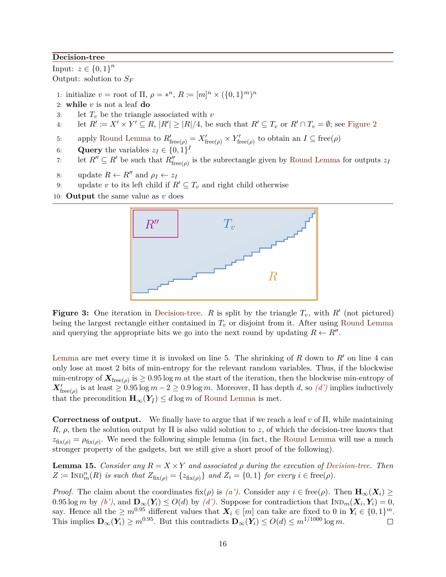#### <span id="page-16-0"></span>**Decision-tree**

Input:  $z \in \{0, 1\}^n$ Output: solution to *S<sup>F</sup>*

1: initialize  $v =$  root of  $\Pi$ ,  $\rho = *^n$ ,  $R := [m]^n \times (\{0, 1\}^m)^n$ 

- 2: **while** *v* is not a leaf **do**
- 3: let  $T_v$  be the triangle associated with  $v$
- 4: let  $R' := X' \times Y' \subseteq R$ ,  $|R'| \geq |R|/4$ , be such that  $R' \subseteq T_v$  or  $R' \cap T_v = \emptyset$ ; see [Figure 2](#page-15-4)
- 5: apply [Round Lemma](#page-15-0) to  $R'_{\text{free}(\rho)} = X'_{\text{free}(\rho)} \times Y'_{\text{free}(\rho)}$  to obtain an  $I \subseteq \text{free}(\rho)$
- 6: **Query** the variables  $z_I \in \{0, 1\}^I$
- 7: let  $R'' \subseteq R'$  be such that  $R''_{\text{free}(\rho)}$  is the subrectangle given by [Round Lemma](#page-15-0) for outputs  $z_I$
- 8: update  $R \leftarrow R''$  and  $\rho_I \leftarrow z_I$
- 9: update *v* to its left child if  $R' \subseteq T_v$  and right child otherwise
- 10: **Output** the same value as *v* does



**Figure 3:** One iteration in [Decision-tree.](#page-16-0) *R* is split by the triangle  $T_v$ , with  $R'$  (not pictured) being the largest rectangle either contained in *T<sup>v</sup>* or disjoint from it. After using [Round Lemma](#page-15-0) and querying the appropriate bits we go into the next round by updating  $R \leftarrow R''$ .

[Lemma](#page-15-0) are met every time it is invoked on line 5. The shrinking of  $R$  down to  $R'$  on line 4 can only lose at most 2 bits of min-entropy for the relevant random variables. Thus, if the blockwise min-entropy of  $X_{\text{free}(\rho)}$  is  $\geq 0.95 \log m$  at the start of the iteration, then the blockwise min-entropy of  $\mathbf{X}'_{\text{free}(\rho)}$  is at least  $\geq 0.95 \log m - 2 \geq 0.9 \log m$ . Moreover,  $\Pi$  has depth *d*, so *[\(d'\)](#page-15-5)* implies inductively that the precondition  $\mathbf{H}_{\infty}(Y_{\bar{I}}) \leq d \log m$  of [Round Lemma](#page-15-0) is met.

**Correctness of output.** We finally have to argue that if we reach a leaf *v* of Π, while maintaining *R*, *ρ*, then the solution output by Π is also valid solution to *z*, of which the decision-tree knows that  $z_{fix(\rho)} = \rho_{fix(\rho)}$ . We need the following simple lemma (in fact, the [Round Lemma](#page-15-0) will use a much stronger property of the gadgets, but we still give a short proof of the following).

<span id="page-16-1"></span>**Lemma 15.** *Consider any*  $R = X \times Y$  *and associated*  $\rho$  *during the execution of [Decision-tree.](#page-16-0) Then*  $Z \coloneqq \text{IND}_{m}^{n}(R)$  *is such that*  $Z_{\text{fix}(\rho)} = \{z_{\text{fix}(\rho)}\}$  *and*  $Z_{i} = \{0, 1\}$  *for every*  $i \in \text{free}(\rho)$ *.* 

*Proof.* The claim about the coordinates fix( $\rho$ ) is [\(a'\)](#page-15-6). Consider any  $i \in \text{free}(\rho)$ . Then  $\mathbf{H}_{\infty}(\mathbf{X}_i) \geq$  $0.95 \log m$  by  $(b')$ , and  $\mathbf{D}_{\infty}(\mathbf{Y}_i) \leq O(d)$  by  $(d')$ . Suppose for contradiction that  $\text{Ind}_{m}(\mathbf{X}_i, \mathbf{Y}_i) = 0$ , say. Hence all the  $\geq m^{0.95}$  different values that  $X_i \in [m]$  can take are fixed to 0 in  $Y_i \in \{0,1\}^m$ . This implies  $\mathbf{D}_{\infty}(Y_i) \geq m^{0.95}$ . But this contradicts  $\mathbf{D}_{\infty}(Y_i) \leq O(d) \leq m^{1/1000} \log m$ .  $\Box$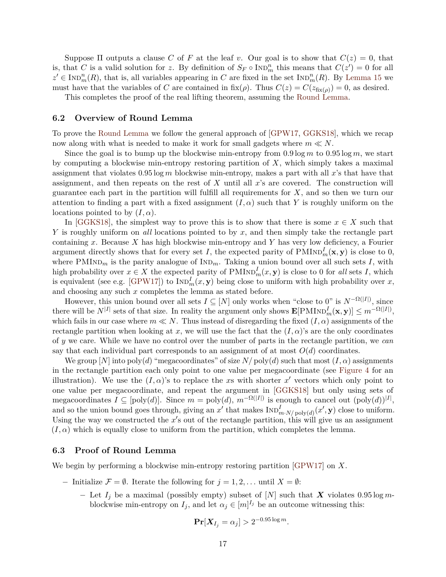Suppose  $\Pi$  outputs a clause  $C$  of  $F$  at the leaf  $v$ . Our goal is to show that  $C(z) = 0$ , that is, that *C* is a valid solution for *z*. By definition of  $S_F \circ \text{Ind}_m^n$  this means that  $C(z') = 0$  for all  $z' \in \text{IND}_{m}^{n}(R)$ , that is, all variables appearing in *C* are fixed in the set  $\text{IND}_{m}^{n}(R)$ . By [Lemma 15](#page-16-1) we must have that the variables of *C* are contained in  $fix(\rho)$ . Thus  $C(z) = C(z_{fix(\rho)}) = 0$ , as desired.

This completes the proof of the real lifting theorem, assuming the [Round Lemma.](#page-15-0)

#### <span id="page-17-0"></span>**6.2 Overview of Round Lemma**

To prove the [Round Lemma](#page-15-0) we follow the general approach of [\[GPW17,](#page-26-12) [GGKS18\]](#page-26-5), which we recap now along with what is needed to make it work for small gadgets where  $m \ll N$ .

Since the goal is to bump up the blockwise min-entropy from  $0.9 \log m$  to  $0.95 \log m$ , we start by computing a blockwise min-entropy restoring partition of *X*, which simply takes a maximal assignment that violates 0*.*95 log *m* blockwise min-entropy, makes a part with all *x*'s that have that assignment, and then repeats on the rest of *X* until all *x*'s are covered. The construction will guarantee each part in the partition will fulfill all requirements for *X*, and so then we turn our attention to finding a part with a fixed assignment  $(I, \alpha)$  such that *Y* is roughly uniform on the locations pointed to by  $(I, \alpha)$ .

In [\[GGKS18\]](#page-26-5), the simplest way to prove this is to show that there is some  $x \in X$  such that *Y* is roughly uniform on *all* locations pointed to by *x*, and then simply take the rectangle part containing *x*. Because *X* has high blockwise min-entropy and *Y* has very low deficiency, a Fourier argument directly shows that for every set *I*, the expected parity of  $\text{PMIND}_m^I(\mathbf{x}, \mathbf{y})$  is close to 0, where  $PMIND_m$  is the parity analogue of  $IND_m$ . Taking a union bound over all such sets *I*, with high probability over  $x \in X$  the expected parity of  $\text{PMIND}_m^I(x, y)$  is close to 0 for *all* sets *I*, which is equivalent (see e.g. [\[GPW17\]](#page-26-12)) to  $\text{Ind}_{m}^{I}(x, y)$  being close to uniform with high probability over *x*, and choosing any such *x* completes the lemma as stated before.

However, this union bound over all sets  $I \subseteq [N]$  only works when "close to 0" is  $N^{-\Omega(|I|)}$ , since there will be  $N^{|I|}$  sets of that size. In reality the argument only shows  $\mathbf{E}[\text{PMIND}_m^I(\mathbf{x}, \mathbf{y})] \leq m^{-\Omega(|I|)}$ , which fails in our case where  $m \ll N$ . Thus instead of disregarding the fixed  $(I, \alpha)$  assignments of the rectangle partition when looking at x, we will use the fact that the  $(I, \alpha)$ 's are the only coordinates of *y* we care. While we have no control over the number of parts in the rectangle partition, we *can* say that each individual part corresponds to an assignment of at most  $O(d)$  coordinates.

We group  $[N]$  into  $poly(d)$  "megacoordinates" of size  $N/poly(d)$  such that most  $(I, \alpha)$  assignments in the rectangle partition each only point to one value per megacoordinate (see [Figure 4](#page-18-0) for an illustration). We use the  $(I, \alpha)$ 's to replace the *x*s with shorter *x'* vectors which only point to one value per megacoordinate, and repeat the argument in [\[GGKS18\]](#page-26-5) but only using sets of megacoordinates  $I \subseteq [poly(d)]$ . Since  $m = poly(d)$ ,  $m^{-\Omega(|I|)}$  is enough to cancel out  $(poly(d))^{[I]},$ and so the union bound goes through, giving an  $x'$  that makes  $\text{Ind}_{m \cdot N/\text{poly}(d)}^I(x', \mathbf{y})$  close to uniform. Using the way we constructed the  $x'$ s out of the rectangle partition, this will give us an assignment  $(I, \alpha)$  which is equally close to uniform from the partition, which completes the lemma.

#### <span id="page-17-1"></span>**6.3 Proof of Round Lemma**

We begin by performing a blockwise min-entropy restoring partition [\[GPW17\]](#page-26-12) on *X*.

- − Initialize  $\mathcal{F} = \emptyset$ . Iterate the following for  $j = 1, 2, \ldots$  until  $X = \emptyset$ :
	- − Let *I<sup>j</sup>* be a maximal (possibly empty) subset of [*N*] such that *X* violates 0*.*95 log *m*blockwise min-entropy on  $I_j$ , and let  $\alpha_j \in [m]^{I_j}$  be an outcome witnessing this:

$$
\Pr[X_{I_j} = \alpha_j] > 2^{-0.95 \log m}.
$$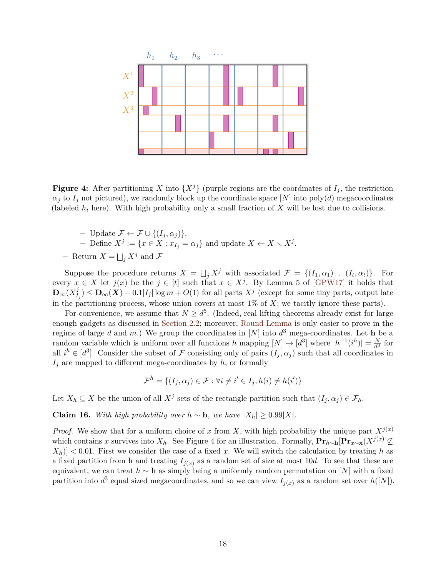<span id="page-18-0"></span>

**Figure 4:** After partitioning X into  $\{X^j\}$  (purple regions are the coordinates of  $I_j$ , the restriction  $\alpha_j$  to  $I_j$  not pictured), we randomly block up the coordinate space [*N*] into poly(*d*) megacoordinates (labeled *h<sup>i</sup>* here). With high probability only a small fraction of *X* will be lost due to collisions.

- − Update F ← F ∪ {(*I<sup>j</sup> , α<sup>j</sup>* )}.  $-$  Define *X*<sup>*j*</sup> := {*x* ∈ *X* : *x*<sub>*I<sub>j</sub>*</sub> = α<sub>*j*</sub>} and update *X* ← *X*  $\setminus$  *X*<sup>*j*</sup>.
- − Return  $X = \bigsqcup_j X^j$  and  $\mathcal F$

Suppose the procedure returns  $X = \bigsqcup_j X^j$  with associated  $\mathcal{F} = \{(I_1, \alpha_1) \dots (I_t, \alpha_t)\}.$  For every  $x \in X$  let  $j(x)$  be the  $j \in [t]$  such that  $x \in X^j$ . By Lemma 5 of [\[GPW17\]](#page-26-12) it holds that  $\mathbf{D}_{\infty}(X_I^j)$  $I_j^j$ ) ≤ **D**<sub>∞</sub>(*X*) – 0*.*1|*I*<sub>*j*</sub>| log *m* + *O*(1) for all parts *X<sup>j</sup>* (except for some tiny parts, output late in the partitioning process, whose union covers at most 1% of *X*; we tacitly ignore these parts).

For convenience, we assume that  $N \geq d^5$ . (Indeed, real lifting theorems already exist for large enough gadgets as discussed in [Section 2.2;](#page-4-0) moreover, [Round Lemma](#page-15-0) is only easier to prove in the regime of large *d* and *m*.) We group the coordinates in [*N*] into  $d^3$  mega-coordinates. Let **h** be a random variable which is uniform over all functions *h* mapping  $[N] \to [d^3]$  where  $|h^{-1}(i^h)| = \frac{N}{d^3}$  $\frac{N}{d^3}$  for all  $i^h \in [d^3]$ . Consider the subset of F consisting only of pairs  $(I_j, \alpha_j)$  such that all coordinates in  $I_j$  are mapped to different mega-coordinates by  $h$ , or formally

$$
\mathcal{F}^h = \{ (I_j, \alpha_j) \in \mathcal{F} : \forall i \neq i' \in I_j, h(i) \neq h(i') \}
$$

Let  $X_h \subseteq X$  be the union of all  $X^j$  sets of the rectangle partition such that  $(I_j, \alpha_j) \in \mathcal{F}_h$ .

**Claim 16.** *With high probability over*  $h \sim h$ *, we have*  $|X_h| \geq 0.99|X|$ *.* 

*Proof.* We show that for a uniform choice of *x* from *X*, with high probability the unique part  $X^{j(x)}$ which contains *x* survives into  $X_h$ . See Figure [4](#page-18-0) for an illustration. Formally,  $\Pr_{h\sim h}[\Pr_{x\sim \mathbf{x}}(X^{j(x)})]$  $|X_h|$   $< 0.01$ . First we consider the case of a fixed *x*. We will switch the calculation by treating *h* as a fixed partition from **h** and treating  $I_{j(x)}$  as a random set of size at most 10*d*. To see that these are equivalent, we can treat *h* ∼ **h** as simply being a uniformly random permutation on [*N*] with a fixed partition into  $d^3$  equal sized megacoordinates, and so we can view  $I_{j(x)}$  as a random set over  $h([N])$ .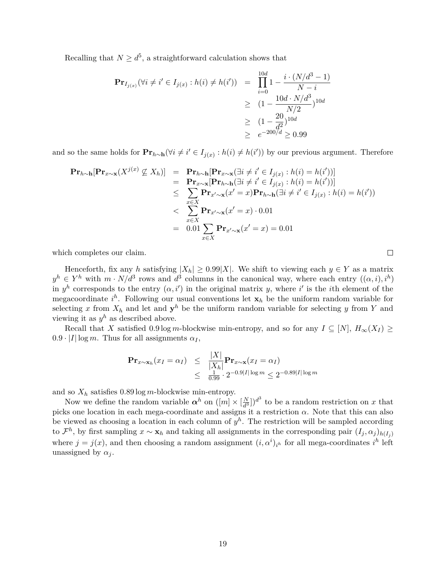Recalling that  $N \geq d^5$ , a straightforward calculation shows that

$$
\begin{aligned} \mathbf{Pr}_{I_{j(x)}}(\forall i \neq i' \in I_{j(x)} : h(i) \neq h(i')) &= \prod_{i=0}^{10d} 1 - \frac{i \cdot (N/d^3 - 1)}{N - i} \\ &\geq (1 - \frac{10d \cdot N/d^3}{N/2})^{10d} \\ &\geq (1 - \frac{20}{d^2})^{10d} \\ &\geq e^{-200/d} \geq 0.99 \end{aligned}
$$

and so the same holds for  $\mathbf{Pr}_{h \sim h}(\forall i \neq i' \in I_{j(x)} : h(i) \neq h(i'))$  by our previous argument. Therefore

$$
\begin{aligned}\n\mathbf{Pr}_{h\sim\mathbf{h}}[\mathbf{Pr}_{x\sim\mathbf{x}}(X^{j(x)} \nsubseteq X_h)] &= \mathbf{Pr}_{h\sim\mathbf{h}}[\mathbf{Pr}_{x\sim\mathbf{x}}(\exists i \neq i' \in I_{j(x)} : h(i) = h(i'))] \\
&= \mathbf{Pr}_{x\sim\mathbf{x}}[\mathbf{Pr}_{h\sim\mathbf{h}}(\exists i \neq i' \in I_{j(x)} : h(i) = h(i'))] \\
&\leq \sum_{x\in X} \mathbf{Pr}_{x'\sim\mathbf{x}}(x'=x)\mathbf{Pr}_{h\sim\mathbf{h}}(\exists i \neq i' \in I_{j(x)} : h(i) = h(i')) \\
&< \sum_{x\in X} \mathbf{Pr}_{x'\sim\mathbf{x}}(x'=x) \cdot 0.01 \\
&= 0.01 \sum_{x\in X} \mathbf{Pr}_{x'\sim\mathbf{x}}(x'=x) = 0.01\n\end{aligned}
$$

which completes our claim.

Henceforth, fix any *h* satisfying  $|X_h| \geq 0.99|X|$ . We shift to viewing each  $y \in Y$  as a matrix  $y^h \in Y^h$  with  $m \cdot N/d^3$  rows and  $d^3$  columns in the canonical way, where each entry  $((\alpha, i), i^h)$ in  $y^h$  corresponds to the entry  $(\alpha, i')$  in the original matrix *y*, where *i*' is the *i*th element of the megacoordinate  $i^h$ . Following our usual conventions let  $\mathbf{x}_h$  be the uniform random variable for selecting x from  $X_h$  and let and  $y^h$  be the uniform random variable for selecting y from Y and viewing it as  $y^h$  as described above.

Recall that *X* satisfied 0.9 log *m*-blockwise min-entropy, and so for any  $I \subseteq [N]$ ,  $H_{\infty}(X_I) \ge$  $0.9 \cdot |I| \log m$ . Thus for all assignments  $\alpha_I$ ,

$$
\begin{array}{rcl}\n\mathbf{Pr}_{x \sim \mathbf{x}_h}(x_I = \alpha_I) & \leq & \frac{|X|}{|X_h|} \mathbf{Pr}_{x \sim \mathbf{x}}(x_I = \alpha_I) \\
& \leq & \frac{1}{0.99} \cdot 2^{-0.9|I| \log m} \leq 2^{-0.89|I| \log m}\n\end{array}
$$

and so  $X_h$  satisfies  $0.89 \log m$ -blockwise min-entropy.

Now we define the random variable  $\alpha^h$  on  $([m] \times [\frac{N}{d^3}]$  $\frac{N}{d^3}$ ])<sup>d<sup>3</sup></sup> to be a random restriction on *x* that picks one location in each mega-coordinate and assigns it a restriction  $\alpha$ . Note that this can also be viewed as choosing a location in each column of  $y^h$ . The restriction will be sampled according to  $\mathcal{F}^h$ , by first sampling  $x \sim \mathbf{x}_h$  and taking all assignments in the corresponding pair  $(I_j, \alpha_j)_{h(I_j)}$ where  $j = j(x)$ , and then choosing a random assignment  $(i, \alpha^i)_{i^h}$  for all mega-coordinates  $i^h$  left unassigned by  $\alpha_j$ .

 $\Box$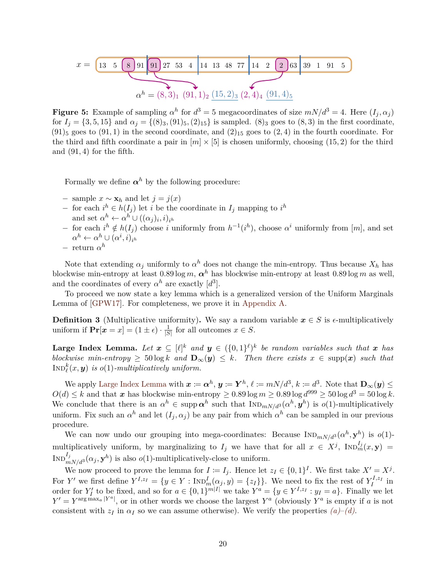$$
x = \underbrace{\begin{bmatrix} 13 & 5 & 8 & 91 & 91 & 27 & 53 & 4 & 14 & 13 & 48 & 77 & 14 & 2 & 2 & 63 & 39 & 1 & 91 & 5 \end{bmatrix}}_{\alpha^h = (8, 3)_1 \ (91, 1)_2 \ (15, 2)_3 \ (2, 4)_4 \ (91, 4)_5}
$$

**Figure 5:** Example of sampling  $\alpha^h$  for  $d^3 = 5$  megacoordinates of size  $mN/d^3 = 4$ . Here  $(I_j, \alpha_j)$ for  $I_i = \{3, 5, 15\}$  and  $\alpha_i = \{(8)_3, (91)_5, (2)_{15}\}$  is sampled.  $(8)_3$  goes to  $(8, 3)$  in the first coordinate,  $(91)_5$  goes to  $(91, 1)$  in the second coordinate, and  $(2)_{15}$  goes to  $(2, 4)$  in the fourth coordinate. For the third and fifth coordinate a pair in  $[m] \times [5]$  is chosen uniformly, choosing (15, 2) for the third and (91*,* 4) for the fifth.

Formally we define  $\alpha^h$  by the following procedure:

- − sample *x* ∼ **x***<sup>h</sup>* and let *j* = *j*(*x*)
- − for each  $i^h \in h(I_j)$  let *i* be the coordinate in  $I_j$  mapping to  $i^h$ and set  $\alpha^h \leftarrow \alpha^h \cup ((\alpha_j)_i, i)_{i^h}$
- $-$  for each *i*<sup>*h*</sup> ∉ *h*(*I<sub>j</sub>*) choose *i* uniformly from *h*<sup>-1</sup>(*i*<sup>*h*</sup>), choose α<sup>*i*</sup> uniformly from [*m*], and set  $\alpha^h \leftarrow \alpha^h \cup (\alpha^i, i)_{i^h}$
- − return *α h*

Note that extending  $\alpha_j$  uniformly to  $\alpha^h$  does not change the min-entropy. Thus because  $X_h$  has blockwise min-entropy at least  $0.89 \log m$ ,  $\alpha^h$  has blockwise min-entropy at least  $0.89 \log m$  as well, and the coordinates of every  $\alpha^h$  are exactly  $[d^3]$ .

To proceed we now state a key lemma which is a generalized version of the Uniform Marginals Lemma of [\[GPW17\]](#page-26-12). For completeness, we prove it in [Appendix A.](#page-21-0)

**Definition 3** (Multiplicative uniformity). We say a random variable  $x \in S$  is  $\epsilon$ -multiplicatively uniform if  $\mathbf{Pr}[\mathbf{x} = x] = (1 \pm \epsilon) \cdot \frac{1}{\sqrt{S}}$  $\frac{1}{|S|}$  for all outcomes  $x \in S$ .

<span id="page-20-0"></span>**Large Index Lemma.** Let  $x \subseteq [\ell]^k$  and  $y \in (\{0,1\}^{\ell})^k$  be random variables such that  $x$  has *blockwise min-entropy*  $\geq 50 \log k$  *and*  $\mathbf{D}_{\infty}(y) \leq k$ *. Then there exists*  $x \in \text{supp}(x)$  *such that*  $\text{Ind}_{\ell}^k(x, y)$  *is*  $o(1)$ *-multiplicatively uniform.* 

We apply [Large Index Lemma](#page-20-0) with  $x \coloneqq \alpha^h$ ,  $y \coloneqq Y^h$ ,  $\ell \coloneqq mN/d^3$ ,  $k \coloneqq d^3$ . Note that  $\mathbf{D}_{\infty}(y) \leq$  $O(d) \leq k$  and that *x* has blockwise min-entropy  $\geq 0.89 \log m \geq 0.89 \log d^{999} \geq 50 \log d^{3} = 50 \log k$ . We conclude that there is an  $\alpha^h \in \text{supp }\alpha^h$  such that  $\text{Ind}_{mN/d^3}(\alpha^h, y^h)$  is  $o(1)$ -multiplicatively uniform. Fix such an  $\alpha^h$  and let  $(I_j, \alpha_j)$  be any pair from which  $\alpha^h$  can be sampled in our previous procedure.

We can now undo our grouping into mega-coordinates: Because  $In_{mN/d}(\alpha^h, \mathbf{y}^h)$  is  $o(1)$ multiplicatively uniform, by marginalizing to  $I_j$  we have that for all  $x \in X^j$ ,  $NnD_m^{I_j}(x, y) =$  $\text{Ind}_{mN/d^3}^{I_j}(\alpha_j, \mathbf{y}^h)$  is also  $o(1)$ -multiplicatively-close to uniform.

We now proceed to prove the lemma for  $I := I_j$ . Hence let  $z_I \in \{0,1\}^I$ . We first take  $X' = X^j$ . For *Y'* we first define  $Y^{I,z_I} = \{y \in Y : \text{Ind}_m^I(\alpha_j, y) = \{z_I\}\}\$ . We need to fix the rest of  $Y^{I,z_I}_I$  in order for  $Y'_I$  to be fixed, and so for  $a \in \{0,1\}^{m|I|}$  we take  $Y^a = \{y \in Y^{I,z_I} : y_I = a\}$ . Finally we let  $Y' = Y^{\arg \max_a |Y^a|}$ , or in other words we choose the largest  $Y^a$  (obviously  $Y^a$  is empty if *a* is not consistent with  $z_I$  in  $\alpha_I$  so we can assume otherwise). We verify the properties  $(a)$ – $(d)$ .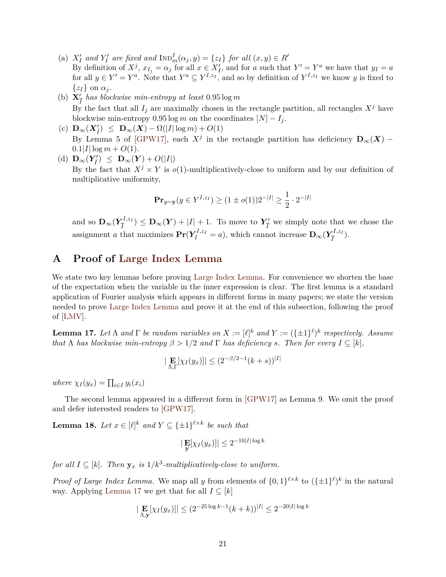- (a)  $X'_I$  and  $Y'_I$  are fixed and  $\text{Ind}_{m}^I(\alpha_j, y) = \{z_I\}$  for all  $(x, y) \in R'$ By definition of  $X^j$ ,  $x_{I_j} = \alpha_j$  for all  $x \in X'_I$ , and for *a* such that  $Y' = Y^a$  we have that  $y_I = a$ for all  $y \in Y' = Y^a$ . Note that  $Y^a \subseteq Y^{I,z_I}$ , and so by definition of  $Y^{I,z_I}$  we know *y* is fixed to  $\{z_I\}$  on  $\alpha_j$ .
- (b)  $\mathbf{X}_I^{\prime}$  has blockwise min-entropy at least  $0.95 \log m$ By the fact that all  $I_j$  are maximally chosen in the rectangle partition, all rectangles  $X^j$  have blockwise min-entropy 0.95 log *m* on the coordinates  $[N] - I_i$ .
- $(C)$   $\mathbf{D}_{\infty}(\mathbf{X}'_{\bar{I}}) \leq \mathbf{D}_{\infty}(\mathbf{X}) \Omega(|I| \log m) + O(1)$ By Lemma 5 of [\[GPW17\]](#page-26-12), each  $X^j$  in the rectangle partition has deficiency  $\mathbf{D}_{\infty}(X)$  –  $0.1|I| \log m + O(1)$ .
- $\label{eq:10} \begin{array}{l} \mbox{(d)} \ \mathbf{D}_{\infty}(\pmb{Y}_{\bar{I}}') \ \leq \ \mathbf{D}_{\infty}(\pmb{Y}) + O(|I|) \end{array}$

By the fact that  $X^j \times Y$  is  $o(1)$ -multiplicatively-close to uniform and by our definition of multiplicative uniformity,

$$
\mathbf{Pr}_{y \sim \mathbf{y}}(y \in Y^{I, z_I}) \ge (1 \pm o(1))2^{-|I|} \ge \frac{1}{2} \cdot 2^{-|I|}
$$

and so  $\mathbf{D}_{\infty} (Y_{\overline{I}}^{I,z_I}$  $\frac{I}{I}(I, z_I) \leq \mathbf{D}_{\infty}(\boldsymbol{Y}) + |I| + 1$ . To move to  $Y_{\overline{I}}$  $\frac{7}{I}$  we simply note that we chose the assignment *a* that maximizes  $Pr(Y_I^{I, z_I} = a)$ , which cannot increase  $D_\infty(Y_{\overline{I}}^{I, z_I})$  $\frac{\tau^{I},z_{I}}{I}).$ 

# <span id="page-21-0"></span>**A Proof of [Large Index Lemma](#page-20-0)**

We state two key lemmas before proving [Large Index Lemma.](#page-20-0) For convenience we shorten the base of the expectation when the variable in the inner expression is clear. The first lemma is a standard application of Fourier analysis which appears in different forms in many papers; we state the version needed to prove [Large Index Lemma](#page-20-0) and prove it at the end of this subsection, following the proof of [\[LMV\]](#page-27-13).

<span id="page-21-1"></span>**Lemma 17.** Let  $\Lambda$  and  $\Gamma$  be random variables on  $X := [\ell]^k$  and  $Y := (\{\pm 1\}^{\ell})^k$  respectively. Assume *that*  $\Lambda$  *has blockwise min-entropy*  $\beta > 1/2$  *and*  $\Gamma$  *has deficiency s. Then for every*  $I \subseteq [k]$ *,* 

$$
|\mathbf{E}_{\Lambda,\Gamma}[\chi_I(y_x)]| \le (2^{-\beta/2 - 1}(k+s))^{|I|}
$$

 $where \chi_I(y_x) = \prod_{i \in I} y_i(x_i)$ 

The second lemma appeared in a different form in [\[GPW17\]](#page-26-12) as Lemma 9. We omit the proof and defer interested readers to [\[GPW17\]](#page-26-12).

<span id="page-21-2"></span>**Lemma 18.** *Let*  $x \in [\ell]^k$  and  $Y \subseteq {\pm 1}^{\ell \times k}$  be such that

$$
|\mathbf{E}[\chi_I(y_x)]| \le 2^{-10|I|\log k}
$$

*for all*  $I \subseteq [k]$ *. Then*  $\mathbf{y}_x$  *is*  $1/k^3$ -multiplicatively-close to uniform.

*Proof of Large Index Lemma.* We map all *y* from elements of  $\{0,1\}^{\ell \times k}$  to  $(\{\pm 1\}^{\ell})^k$  in the natural way. Applying [Lemma 17](#page-21-1) we get that for all  $I \subseteq [k]$ 

$$
|\mathop{\mathbf{E}}_{\Lambda,\mathbf{y}}[\chi_I(y_x)]| \le (2^{-25\log k - 1}(k+k))^{|I|} \le 2^{-20|I|\log k}
$$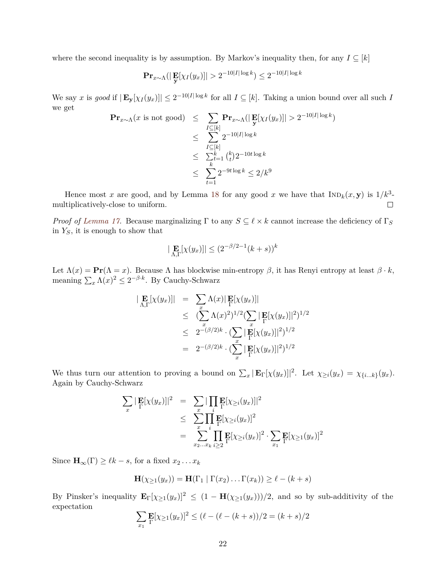where the second inequality is by assumption. By Markov's inequality then, for any  $I \subseteq [k]$ 

$$
\mathbf{Pr}_{x \sim \Lambda}(|\mathbf{E}[{\chi_I(y_x)}]| > 2^{-10|I|\log k}) \le 2^{-10|I|\log k}
$$

We say x is good if  $|\mathbf{E}_{\mathbf{y}}[\chi_I(y_x)]| \leq 2^{-10|I|\log k}$  for all  $I \subseteq [k]$ . Taking a union bound over all such I we get −10|*I*| log *k*

$$
\begin{aligned} \mathbf{Pr}_{x \sim \Lambda}(x \text{ is not good}) &\leq \sum_{I \subseteq [k]} \mathbf{Pr}_{x \sim \Lambda}(|\mathbf{E}[X_I(y_x)]| > 2^{-10|I|\log k}) \\ &\leq \sum_{I \subseteq [k]} 2^{-10|I|\log k} \\ &\leq \sum_{k=1}^k {k \choose t} 2^{-10t \log k} \\ &\leq \sum_{t=1}^k 2^{-9t \log k} \leq 2/k^9 \end{aligned}
$$

Hence most *x* are good, and by Lemma [18](#page-21-2) for any good *x* we have that  $\text{IND}_k(x, y)$  is  $1/k^3$ multiplicatively-close to uniform.  $\Box$ 

*Proof of [Lemma 17.](#page-21-1)* Because marginalizing  $\Gamma$  to any  $S \subseteq \ell \times k$  cannot increase the deficiency of  $\Gamma_S$ in *YS*, it is enough to show that

$$
|\mathbf{E}_{\Lambda,\Gamma}[\chi(y_x)]| \le (2^{-\beta/2 - 1}(k+s))^k
$$

Let  $\Lambda(x) = \mathbf{Pr}(\Lambda = x)$ . Because  $\Lambda$  has blockwise min-entropy  $\beta$ , it has Renyi entropy at least  $\beta \cdot k$ , meaning  $\sum_{x} \Lambda(x)^2 \leq 2^{-\beta \cdot k}$ . By Cauchy-Schwarz

$$
\begin{array}{rcl} \left| \mathbf{E}[\chi(y_x)] \right| & = & \sum_x \Lambda(x) |\mathbf{E}[\chi(y_x)]| \\ & \leq & (\sum_x \Lambda(x)^2)^{1/2} (\sum_x |\mathbf{E}[\chi(y_x)]|^2)^{1/2} \\ & \leq & 2^{-(\beta/2)k} \cdot (\sum_x |\mathbf{E}[\chi(y_x)]|^2)^{1/2} \\ & = & 2^{-(\beta/2)k} \cdot (\sum_x |\mathbf{E}[\chi(y_x)]|^2)^{1/2} \end{array}
$$

We thus turn our attention to proving a bound on  $\sum_x |\mathbf{E}_{\Gamma}[\chi(y_x)]|^2$ . Let  $\chi_{\geq i}(y_x) = \chi_{\{i...k\}}(y_x)$ . Again by Cauchy-Schwarz

$$
\sum_{x} |\mathbf{E}[X(y_x)]|^2 = \sum_{x} |\prod_{i} \mathbf{E}[X \geq i(y_x)]|^2
$$
  
\n
$$
\leq \sum_{x} \prod_{i} \mathbf{E}[X \geq i(y_x)]^2
$$
  
\n
$$
= \sum_{x_2...x_k} \prod_{i \geq 2} \mathbf{E}[X \geq i(y_x)]^2 \cdot \sum_{x_1} \mathbf{E}[X \geq 1(y_x)]^2
$$

Since  $\mathbf{H}_{\infty}(\Gamma) \geq \ell k - s$ , for a fixed  $x_2 \dots x_k$ 

$$
\mathbf{H}(\chi_{\geq 1}(y_x)) = \mathbf{H}(\Gamma_1 \mid \Gamma(x_2) \dots \Gamma(x_k)) \geq \ell - (k + s)
$$

By Pinsker's inequality  $\mathbf{E}_{\Gamma}[\chi_{\geq 1}(y_x)]^2 \leq (1 - \mathbf{H}(\chi_{\geq 1}(y_x)))/2$ , and so by sub-additivity of the expectation

$$
\sum_{x_1} \mathbf{E}[\chi_{\ge 1}(y_x)]^2 \le (\ell - (\ell - (k+s))/2 = (k+s)/2
$$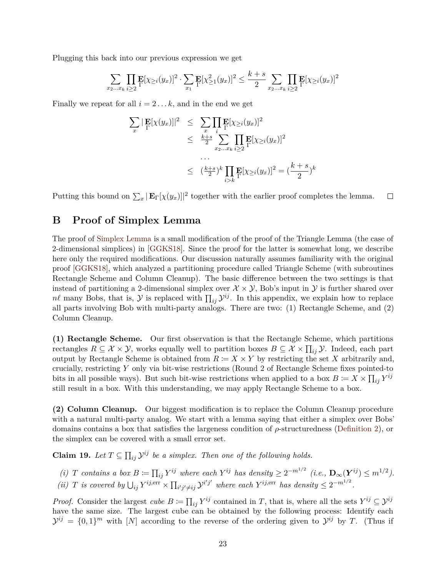Plugging this back into our previous expression we get

$$
\sum_{x_2...x_k} \prod_{i\geq 2} \mathbf{E}[\chi_{\geq i}(y_x)]^2 \cdot \sum_{x_1} \mathbf{E}[\chi_{\geq 1}^2(y_x)]^2 \leq \frac{k+s}{2} \sum_{x_2...x_k} \prod_{i\geq 2} \mathbf{E}[\chi_{\geq i}(y_x)]^2
$$

Finally we repeat for all  $i = 2...k$ , and in the end we get

$$
\sum_{x} |\mathbf{E}[\chi(y_x)]|^2 \leq \sum_{x} \prod_{i} \mathbf{E}[\chi_{\geq i}(y_x)]^2
$$
  
\n
$$
\leq \frac{k+s}{2} \sum_{x_2...x_k} \prod_{i \geq 2} \mathbf{E}[\chi_{\geq i}(y_x)]^2
$$
  
\n...  
\n
$$
\leq \left(\frac{k+s}{2}\right)^k \prod_{i > k} \mathbf{E}[\chi_{\geq i}(y_x)]^2 = \left(\frac{k+s}{2}\right)^k
$$

Putting this bound on  $\sum_x |\mathbf{E}_{\Gamma}[\chi(y_x)]|^2$  together with the earlier proof completes the lemma.  $\Box$ 

## <span id="page-23-0"></span>**B Proof of Simplex Lemma**

The proof of [Simplex Lemma](#page-10-2) is a small modification of the proof of the Triangle Lemma (the case of 2-dimensional simplices) in [\[GGKS18\]](#page-26-5). Since the proof for the latter is somewhat long, we describe here only the required modifications. Our discussion naturally assumes familiarity with the original proof [\[GGKS18\]](#page-26-5), which analyzed a partitioning procedure called Triangle Scheme (with subroutines Rectangle Scheme and Column Cleanup). The basic difference between the two settings is that instead of partitioning a 2-dimensional simplex over  $\mathcal{X} \times \mathcal{Y}$ , Bob's input in  $\mathcal{Y}$  is further shared over  $n\ell$  many Bobs, that is,  $\mathcal Y$  is replaced with  $\prod_{ij} \mathcal Y^{ij}$ . In this appendix, we explain how to replace all parts involving Bob with multi-party analogs. There are two: (1) Rectangle Scheme, and (2) Column Cleanup.

**(1) Rectangle Scheme.** Our first observation is that the Rectangle Scheme, which partitions rectangles  $R \subseteq \mathcal{X} \times \mathcal{Y}$ , works equally well to partition boxes  $B \subseteq \mathcal{X} \times \prod_{ij} \mathcal{Y}$ . Indeed, each part output by Rectangle Scheme is obtained from  $R := X \times Y$  by restricting the set X arbitrarily and, crucially, restricting *Y* only via bit-wise restrictions (Round 2 of Rectangle Scheme fixes pointed-to bits in all possible ways). But such bit-wise restrictions when applied to a box  $B \coloneqq X \times \prod_{ij} Y^{ij}$ still result in a box. With this understanding, we may apply Rectangle Scheme to a box.

**(2) Column Cleanup.** Our biggest modification is to replace the Column Cleanup procedure with a natural multi-party analog. We start with a lemma saying that either a simplex over Bobs' domains contains a box that satisfies the largeness condition of *ρ*-structuredness [\(Definition 2\)](#page-10-4), or the simplex can be covered with a small error set.

**Claim 19.** Let  $T \subseteq \prod_{ij} \mathcal{Y}^{ij}$  be a simplex. Then one of the following holds.

(i) T contains a box  $B \coloneqq \prod_{ij} Y^{ij}$  where each  $Y^{ij}$  has density  $\geq 2^{-m^{1/2}}$  (i.e.,  $\mathbf{D}_{\infty}(\mathbf{Y}^{ij}) \leq m^{1/2}$ ).

<span id="page-23-1"></span>(ii) T is covered by  $\bigcup_{ij} Y^{ij,\text{err}} \times \prod_{i'j' \neq ij} \mathcal{Y}^{i'j'}$  where each  $Y^{ij,\text{err}}$  has density  $\leq 2^{-m^{1/2}}$ .

*Proof.* Consider the largest *cube*  $B := \prod_{ij} Y^{ij}$  contained in *T*, that is, where all the sets  $Y^{ij} \subseteq \mathcal{Y}^{ij}$ have the same size. The largest cube can be obtained by the following process: Identify each  $\mathcal{Y}^{ij} = \{0,1\}^m$  with  $[N]$  according to the reverse of the ordering given to  $\mathcal{Y}^{ij}$  by *T*. (Thus if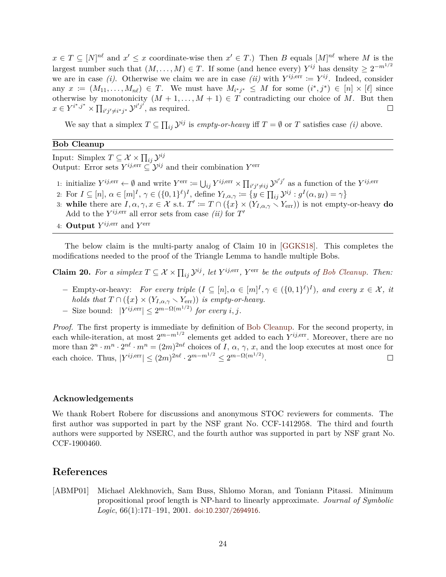$x \in T \subseteq [N]^{\text{nl}}$  and  $x' \leq x$  coordinate-wise then  $x' \in T$ .) Then *B* equals  $[M]^{\text{nl}}$  where *M* is the largest number such that  $(M, \ldots, M) \in T$ . If some (and hence every)  $Y^{ij}$  has density  $\geq 2^{-m^{1/2}}$ we are in case *(i)*. Otherwise we claim we are in case *(ii)* with  $Y^{ij,err} := Y^{ij}$ . Indeed, consider any  $x := (M_{11}, \ldots, M_{n\ell}) \in T$ . We must have  $M_{i^*j^*} \leq M$  for some  $(i^*, j^*) \in [n] \times [\ell]$  since otherwise by monotonicity  $(M + 1, ..., M + 1) \in T$  contradicting our choice of M. But then  $x \in Y^{i^*,j^*} \times \prod_{i'j' \neq i^*j^*} \mathcal{Y}^{i'j'}$ , as required.  $\Box$ 

We say that a simplex  $T \subseteq \prod_{ij} \mathcal{Y}^{ij}$  is *empty-or-heavy* iff  $T = \emptyset$  or  $T$  satisfies case *(i)* above.

#### **Bob Cleanup**

Input: Simplex  $T \subseteq \mathcal{X} \times \prod_{ij} \mathcal{Y}^{ij}$ Output: Error sets  $Y^{ij,err} \subseteq \mathcal{Y}^{ij}$  and their combination  $Y^{err}$ 

- 1: initialize  $Y^{ij,err} \leftarrow \emptyset$  and write  $Y^{err} := \bigcup_{ij} Y^{ij,err} \times \prod_{i'j' \neq ij} \mathcal{Y}^{i'j'}$  as a function of the  $Y^{ij,err}$
- 2: For  $I \subseteq [n]$ ,  $\alpha \in [m]^I$ ,  $\gamma \in (\{0,1\}^{\ell})^I$ , define  $Y_{I,\alpha,\gamma} := \{y \in \prod_{ij} \mathcal{Y}^{ij} : g^I(\alpha, y_I) = \gamma\}$
- 3: while there are  $I, \alpha, \gamma, x \in \mathcal{X}$  s.t.  $T' := T \cap (\{x\} \times (Y_{I,\alpha,\gamma} \times Y_{\text{err}}))$  is not empty-or-heavy **do** Add to the  $Y^{ij,err}$  all error sets from case *(ii)* for  $T'$
- 4: **Output**  $Y^{ij,err}$  and  $Y^{err}$

The below claim is the multi-party analog of Claim 10 in [\[GGKS18\]](#page-26-5). This completes the modifications needed to the proof of the Triangle Lemma to handle multiple Bobs.

**Claim 20.** For a simplex  $T \subseteq \mathcal{X} \times \prod_{ij} \mathcal{Y}^{ij}$ , let  $Y^{ij,err}$ ,  $Y^{err}$  be the outputs of [Bob Cleanup.](#page-23-1) Then:

- $-$  Empty-or-heavy: *For every triple*  $(I \subseteq [n], \alpha \in [m]^I, \gamma \in (\{0,1\}^{\ell})^I)$ *, and every*  $x \in \mathcal{X}$ *, it holds that*  $T \cap (\{x\} \times (Y_{I,\alpha,\gamma} \times Y_{\text{err}}))$  *is empty-or-heavy.*
- $-$  Size bound:  $|Y^{ij,err}| \leq 2^{m-\Omega(m^{1/2})}$  for every *i*, *j*.

*Proof.* The first property is immediate by definition of [Bob Cleanup.](#page-23-1) For the second property, in each while-iteration, at most 2*m*−*m*1*/*<sup>2</sup> elements get added to each *Y ij,*err. Moreover, there are no more than  $2^n \cdot m^n \cdot 2^{n\ell} \cdot m^n = (2m)^{2n\ell}$  choices of *I*,  $\alpha$ ,  $\gamma$ , *x*, and the loop executes at most once for each choice. Thus,  $|Y^{ij,err}| \le (2m)^{2n\ell} \cdot 2^{m-m^{1/2}} \le 2^{m-\Omega(m^{1/2})}$ .  $\Box$ 

#### **Acknowledgements**

We thank Robert Robere for discussions and anonymous STOC reviewers for comments. The first author was supported in part by the NSF grant No. CCF-1412958. The third and fourth authors were supported by NSERC, and the fourth author was supported in part by NSF grant No. CCF-1900460.

### <span id="page-24-0"></span>**References**

<span id="page-24-1"></span>[ABMP01] Michael Alekhnovich, Sam Buss, Shlomo Moran, and Toniann Pitassi. Minimum propositional proof length is NP-hard to linearly approximate. *Journal of Symbolic Logic*, 66(1):171–191, 2001. [doi:10.2307/2694916](http://dx.doi.org/10.2307/2694916).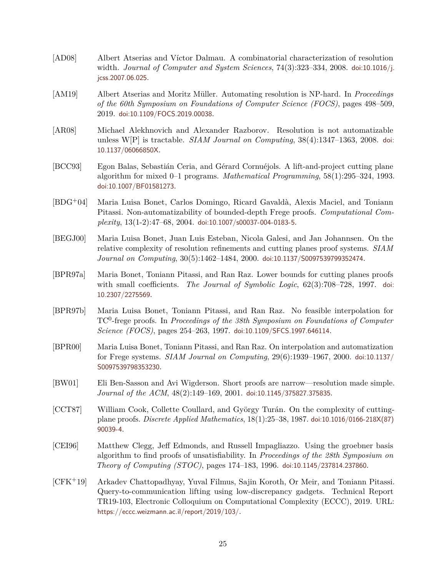- <span id="page-25-12"></span>[AD08] Albert Atserias and Víctor Dalmau. A combinatorial characterization of resolution width. *Journal of Computer and System Sciences*, 74(3):323–334, 2008. [doi:10.1016/j.](http://dx.doi.org/10.1016/j.jcss.2007.06.025) [jcss.2007.06.025](http://dx.doi.org/10.1016/j.jcss.2007.06.025).
- <span id="page-25-4"></span>[AM19] Albert Atserias and Moritz M¨uller. Automating resolution is NP-hard. In *Proceedings of the 60th Symposium on Foundations of Computer Science (FOCS)*, pages 498–509, 2019. [doi:10.1109/FOCS.2019.00038](http://dx.doi.org/10.1109/FOCS.2019.00038).
- <span id="page-25-3"></span>[AR08] Michael Alekhnovich and Alexander Razborov. Resolution is not automatizable unless W[P] is tractable. *SIAM Journal on Computing*, 38(4):1347–1363, 2008. [doi:](http://dx.doi.org/10.1137/06066850X) [10.1137/06066850X](http://dx.doi.org/10.1137/06066850X).
- <span id="page-25-8"></span>[BCC93] Egon Balas, Sebastián Ceria, and Gérard Cornuéjols. A lift-and-project cutting plane algorithm for mixed 0–1 programs. *Mathematical Programming*, 58(1):295–324, 1993. [doi:10.1007/BF01581273](http://dx.doi.org/10.1007/BF01581273).
- <span id="page-25-6"></span>[BDG+04] Maria Luisa Bonet, Carlos Domingo, Ricard Gavald`a, Alexis Maciel, and Toniann Pitassi. Non-automatizability of bounded-depth Frege proofs. *Computational Complexity*, 13(1-2):47–68, 2004. [doi:10.1007/s00037-004-0183-5](http://dx.doi.org/10.1007/s00037-004-0183-5).
- <span id="page-25-9"></span>[BEGJ00] Maria Luisa Bonet, Juan Luis Esteban, Nicola Galesi, and Jan Johannsen. On the relative complexity of resolution refinements and cutting planes proof systems. *SIAM Journal on Computing*, 30(5):1462–1484, 2000. [doi:10.1137/S0097539799352474](http://dx.doi.org/10.1137/S0097539799352474).
- <span id="page-25-10"></span>[BPR97a] Maria Bonet, Toniann Pitassi, and Ran Raz. Lower bounds for cutting planes proofs with small coefficients. *The Journal of Symbolic Logic*, 62(3):708–728, 1997. [doi:](http://dx.doi.org/10.2307/2275569) [10.2307/2275569](http://dx.doi.org/10.2307/2275569).
- <span id="page-25-5"></span>[BPR97b] Maria Luisa Bonet, Toniann Pitassi, and Ran Raz. No feasible interpolation for TC<sup>0</sup> -frege proofs. In *Proceedings of the 38th Symposium on Foundations of Computer Science (FOCS)*, pages 254–263, 1997. [doi:10.1109/SFCS.1997.646114](http://dx.doi.org/10.1109/SFCS.1997.646114).
- <span id="page-25-0"></span>[BPR00] Maria Luisa Bonet, Toniann Pitassi, and Ran Raz. On interpolation and automatization for Frege systems. *SIAM Journal on Computing*, 29(6):1939–1967, 2000. [doi:10.1137/](http://dx.doi.org/10.1137/S0097539798353230) [S0097539798353230](http://dx.doi.org/10.1137/S0097539798353230).
- <span id="page-25-1"></span>[BW01] Eli Ben-Sasson and Avi Wigderson. Short proofs are narrow—resolution made simple. *Journal of the ACM*, 48(2):149–169, 2001. [doi:10.1145/375827.375835](http://dx.doi.org/10.1145/375827.375835).
- <span id="page-25-7"></span>[CCT87] William Cook, Collette Coullard, and György Turán. On the complexity of cuttingplane proofs. *Discrete Applied Mathematics*, 18(1):25–38, 1987. [doi:10.1016/0166-218X\(87\)](http://dx.doi.org/10.1016/0166-218X(87)90039-4) [90039-4](http://dx.doi.org/10.1016/0166-218X(87)90039-4).
- <span id="page-25-2"></span>[CEI96] Matthew Clegg, Jeff Edmonds, and Russell Impagliazzo. Using the groebner basis algorithm to find proofs of unsatisfiability. In *Proceedings of the 28th Symposium on Theory of Computing (STOC)*, pages 174–183, 1996. [doi:10.1145/237814.237860](http://dx.doi.org/10.1145/237814.237860).
- <span id="page-25-11"></span>[CFK+19] Arkadev Chattopadhyay, Yuval Filmus, Sajin Koroth, Or Meir, and Toniann Pitassi. Query-to-communication lifting using low-discrepancy gadgets. Technical Report TR19-103, Electronic Colloquium on Computational Complexity (ECCC), 2019. URL: <https://eccc.weizmann.ac.il/report/2019/103/>.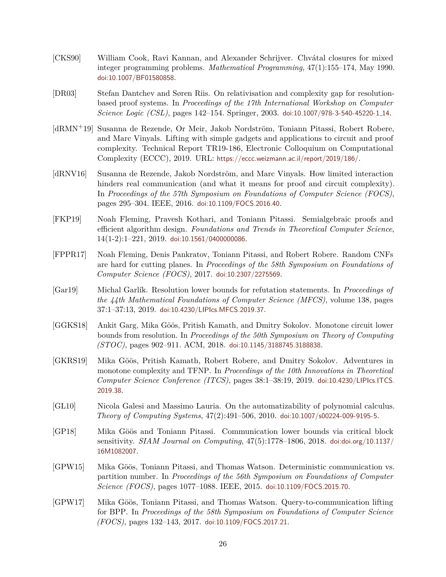- <span id="page-26-2"></span>[CKS90] William Cook, Ravi Kannan, and Alexander Schrijver. Chvátal closures for mixed integer programming problems. *Mathematical Programming*, 47(1):155–174, May 1990. [doi:10.1007/BF01580858](http://dx.doi.org/10.1007/BF01580858).
- <span id="page-26-8"></span>[DR03] Stefan Dantchev and Søren Riis. On relativisation and complexity gap for resolutionbased proof systems. In *Proceedings of the 17th International Workshop on Computer Science Logic (CSL)*, pages 142–154. Springer, 2003. [doi:10.1007/978-3-540-45220-1](http://dx.doi.org/10.1007/978-3-540-45220-1_14) 14.
- <span id="page-26-7"></span>[dRMN+19] Susanna de Rezende, Or Meir, Jakob Nordström, Toniann Pitassi, Robert Robere, and Marc Vinyals. Lifting with simple gadgets and applications to circuit and proof complexity. Technical Report TR19-186, Electronic Colloquium on Computational Complexity (ECCC), 2019. URL: <https://eccc.weizmann.ac.il/report/2019/186/>.
- <span id="page-26-4"></span>[dRNV16] Susanna de Rezende, Jakob Nordström, and Marc Vinyals. How limited interaction hinders real communication (and what it means for proof and circuit complexity). In *Proceedings of the 57th Symposium on Foundations of Computer Science (FOCS)*, pages 295–304. IEEE, 2016. [doi:10.1109/FOCS.2016.40](http://dx.doi.org/10.1109/FOCS.2016.40).
- <span id="page-26-0"></span>[FKP19] Noah Fleming, Pravesh Kothari, and Toniann Pitassi. Semialgebraic proofs and efficient algorithm design. *Foundations and Trends in Theoretical Computer Science*,  $14(1-2):1-221$ ,  $2019$ . [doi:10.1561/0400000086](http://dx.doi.org/10.1561/0400000086).
- <span id="page-26-10"></span>[FPPR17] Noah Fleming, Denis Pankratov, Toniann Pitassi, and Robert Robere. Random CNFs are hard for cutting planes. In *Proceedings of the 58th Symposium on Foundations of Computer Science (FOCS)*, 2017. [doi:10.2307/2275569](http://dx.doi.org/10.2307/2275569).
- <span id="page-26-9"></span>[Gar19] Michal Garl´ık. Resolution lower bounds for refutation statements. In *Proceedings of the 44th Mathematical Foundations of Computer Science (MFCS)*, volume 138, pages 37:1–37:13, 2019. [doi:10.4230/LIPIcs.MFCS.2019.37](http://dx.doi.org/10.4230/LIPIcs.MFCS.2019.37).
- <span id="page-26-5"></span>[GGKS18] Ankit Garg, Mika Göös, Pritish Kamath, and Dmitry Sokolov. Monotone circuit lower bounds from resolution. In *Proceedings of the 50th Symposium on Theory of Computing (STOC)*, pages 902–911. ACM, 2018. [doi:10.1145/3188745.3188838](http://dx.doi.org/10.1145/3188745.3188838).
- <span id="page-26-6"></span>[GKRS19] Mika Göös, Pritish Kamath, Robert Robere, and Dmitry Sokolov. Adventures in monotone complexity and TFNP. In *Proceedings of the 10th Innovations in Theoretical Computer Science Conference (ITCS)*, pages 38:1–38:19, 2019. [doi:10.4230/LIPIcs.ITCS.](http://dx.doi.org/10.4230/LIPIcs.ITCS.2019.38) [2019.38](http://dx.doi.org/10.4230/LIPIcs.ITCS.2019.38).
- <span id="page-26-1"></span>[GL10] Nicola Galesi and Massimo Lauria. On the automatizability of polynomial calculus. *Theory of Computing Systems*, 47(2):491–506, 2010. [doi:10.1007/s00224-009-9195-5](http://dx.doi.org/10.1007/s00224-009-9195-5).
- <span id="page-26-3"></span>[GP18] Mika Göös and Toniann Pitassi. Communication lower bounds via critical block sensitivity. *SIAM Journal on Computing*, 47(5):1778–1806, 2018. [doi:doi.org/10.1137/](http://dx.doi.org/doi.org/10.1137/16M1082007) [16M1082007](http://dx.doi.org/doi.org/10.1137/16M1082007).
- <span id="page-26-11"></span>[GPW15] Mika Göös, Toniann Pitassi, and Thomas Watson. Deterministic communication vs. partition number. In *Proceedings of the 56th Symposium on Foundations of Computer Science (FOCS)*, pages 1077–1088. IEEE, 2015. [doi:10.1109/FOCS.2015.70](http://dx.doi.org/10.1109/FOCS.2015.70).
- <span id="page-26-12"></span>[GPW17] Mika Göös, Toniann Pitassi, and Thomas Watson. Query-to-communication lifting for BPP. In *Proceedings of the 58th Symposium on Foundations of Computer Science (FOCS)*, pages 132–143, 2017. [doi:10.1109/FOCS.2017.21](http://dx.doi.org/10.1109/FOCS.2017.21).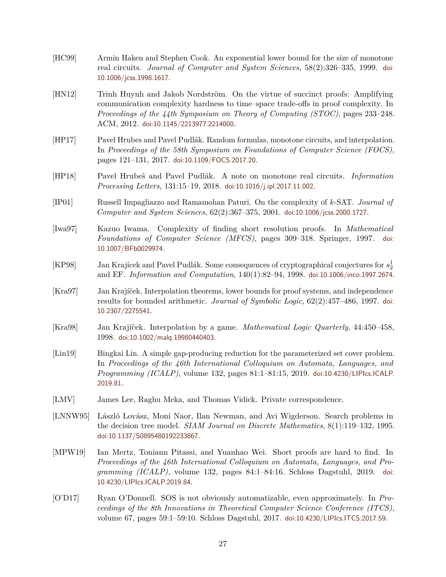- <span id="page-27-12"></span>[HC99] Armin Haken and Stephen Cook. An exponential lower bound for the size of monotone real circuits. *Journal of Computer and System Sciences*, 58(2):326–335, 1999. [doi:](http://dx.doi.org/10.1006/jcss.1998.1617) [10.1006/jcss.1998.1617](http://dx.doi.org/10.1006/jcss.1998.1617).
- <span id="page-27-6"></span>[HN12] Trinh Huynh and Jakob Nordström. On the virtue of succinct proofs: Amplifying communication complexity hardness to time–space trade-offs in proof complexity. In *Proceedings of the 44th Symposium on Theory of Computing (STOC)*, pages 233–248. ACM, 2012. [doi:10.1145/2213977.2214000](http://dx.doi.org/10.1145/2213977.2214000).
- <span id="page-27-9"></span>[HP17] Pavel Hrubes and Pavel Pudlák. Random formulas, monotone circuits, and interpolation. In *Proceedings of the 58th Symposium on Foundations of Computer Science (FOCS)*, pages 121–131, 2017. [doi:10.1109/FOCS.2017.20](http://dx.doi.org/10.1109/FOCS.2017.20).
- <span id="page-27-8"></span>[HP18] Pavel Hrubeš and Pavel Pudlák. A note on monotone real circuits. *Information Processing Letters*, 131:15–19, 2018. [doi:10.1016/j.ipl.2017.11.002](http://dx.doi.org/10.1016/j.ipl.2017.11.002).
- <span id="page-27-4"></span>[IP01] Russell Impagliazzo and Ramamohan Paturi. On the complexity of *k*-SAT. *Journal of Computer and System Sciences*, 62(2):367–375, 2001. [doi:10.1006/jcss.2000.1727](http://dx.doi.org/10.1006/jcss.2000.1727).
- <span id="page-27-1"></span>[Iwa97] Kazuo Iwama. Complexity of finding short resolution proofs. In *Mathematical Foundations of Computer Science (MFCS)*, pages 309–318. Springer, 1997. [doi:](http://dx.doi.org/10.1007/BFb0029974) [10.1007/BFb0029974](http://dx.doi.org/10.1007/BFb0029974).
- <span id="page-27-3"></span>[KP98] Jan Krajícek and Pavel Pudlák. Some consequences of cryptographical conjectures for  $s_2^1$ and EF. *Information and Computation*, 140(1):82–94, 1998. [doi:10.1006/inco.1997.2674](http://dx.doi.org/10.1006/inco.1997.2674).
- <span id="page-27-7"></span>[Kra97] Jan Krajíček. Interpolation theorems, lower bounds for proof systems, and independence results for bounded arithmetic. *Journal of Symbolic Logic*, 62(2):457–486, 1997. [doi:](http://dx.doi.org/10.2307/2275541) [10.2307/2275541](http://dx.doi.org/10.2307/2275541).
- <span id="page-27-10"></span>[Kra98] Jan Krajíček. Interpolation by a game. *Mathematical Logic Quarterly*, 44:450–458, 1998. [doi:10.1002/malq.19980440403](http://dx.doi.org/10.1002/malq.19980440403).
- <span id="page-27-5"></span>[Lin19] Bingkai Lin. A simple gap-producing reduction for the parameterized set cover problem. In *Proceedings of the 46th International Colloquium on Automata, Languages, and Programming (ICALP)*, volume 132, pages 81:1–81:15, 2019. [doi:10.4230/LIPIcs.ICALP.](http://dx.doi.org/10.4230/LIPIcs.ICALP.2019.81) [2019.81](http://dx.doi.org/10.4230/LIPIcs.ICALP.2019.81).
- <span id="page-27-13"></span>[LMV] James Lee, Raghu Meka, and Thomas Vidick. Private correspondence.
- <span id="page-27-11"></span>[LNNW95] László Lovász, Moni Naor, Ilan Newman, and Avi Wigderson. Search problems in the decision tree model. *SIAM Journal on Discrete Mathematics*, 8(1):119–132, 1995. [doi:10.1137/S0895480192233867](http://dx.doi.org/10.1137/S0895480192233867).
- <span id="page-27-2"></span>[MPW19] Ian Mertz, Toniann Pitassi, and Yuanhao Wei. Short proofs are hard to find. In *Proceedings of the 46th International Colloquium on Automata, Languages, and Programming (ICALP)*, volume 132, pages 84:1–84:16. Schloss Dagstuhl, 2019. [doi:](http://dx.doi.org/10.4230/LIPIcs.ICALP.2019.84) [10.4230/LIPIcs.ICALP.2019.84](http://dx.doi.org/10.4230/LIPIcs.ICALP.2019.84).
- <span id="page-27-0"></span>[O'D17] Ryan O'Donnell. SOS is not obviously automatizable, even approximately. In *Proceedings of the 8th Innovations in Theoretical Computer Science Conference (ITCS)*, volume 67, pages 59:1–59:10. Schloss Dagstuhl, 2017. [doi:10.4230/LIPIcs.ITCS.2017.59](http://dx.doi.org/10.4230/LIPIcs.ITCS.2017.59).